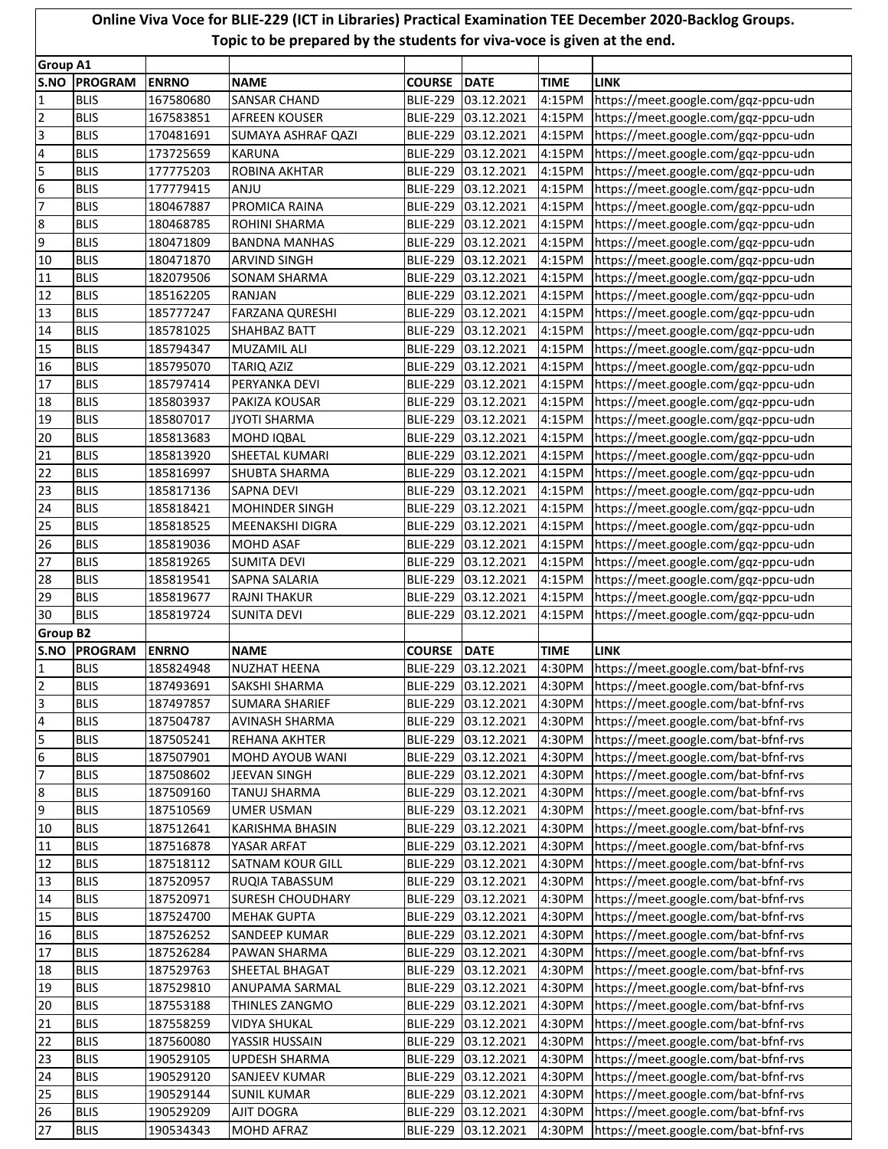## **Online Viva Voce for BLIE-229 (ICT in Libraries) Practical Examination TEE December 2020-Backlog Groups. Topic to be prepared by the students for viva-voce is given at the end.**

|                          | <b>Group A1</b>            |                        |                                         |                 |                                            |                  |                                                                              |
|--------------------------|----------------------------|------------------------|-----------------------------------------|-----------------|--------------------------------------------|------------------|------------------------------------------------------------------------------|
| S.NO                     | <b>PROGRAM</b>             | <b>ENRNO</b>           | <b>NAME</b>                             | <b>COURSE</b>   | <b>DATE</b>                                | <b>TIME</b>      | <b>LINK</b>                                                                  |
| $\mathbf{1}$             | <b>BLIS</b>                | 167580680              | SANSAR CHAND                            | <b>BLIE-229</b> | 03.12.2021                                 | 4:15PM           | https://meet.google.com/gqz-ppcu-udn                                         |
| $\overline{2}$           | <b>BLIS</b>                | 167583851              | <b>AFREEN KOUSER</b>                    | <b>BLIE-229</b> | 03.12.2021                                 | 4:15PM           | https://meet.google.com/gqz-ppcu-udn                                         |
| $\overline{\mathbf{3}}$  | <b>BLIS</b>                | 170481691              | <b>SUMAYA ASHRAF QAZI</b>               |                 | BLIE-229 03.12.2021                        | 4:15PM           | https://meet.google.com/gqz-ppcu-udn                                         |
| $\overline{4}$           | <b>BLIS</b>                | 173725659              | <b>KARUNA</b>                           |                 | BLIE-229 03.12.2021                        | 4:15PM           | https://meet.google.com/gqz-ppcu-udn                                         |
| 5                        | <b>BLIS</b>                | 177775203              | ROBINA AKHTAR                           |                 | BLIE-229 03.12.2021                        | 4:15PM           | https://meet.google.com/gqz-ppcu-udn                                         |
| $6\overline{6}$          | <b>BLIS</b>                | 177779415              | ANJU                                    |                 | BLIE-229 03.12.2021                        | 4:15PM           | https://meet.google.com/gqz-ppcu-udn                                         |
| $\overline{7}$           | <b>BLIS</b>                | 180467887              | PROMICA RAINA                           |                 | BLIE-229 03.12.2021                        | 4:15PM           | https://meet.google.com/gqz-ppcu-udn                                         |
| 8                        | <b>BLIS</b>                | 180468785              | <b>ROHINI SHARMA</b>                    |                 | BLIE-229 03.12.2021                        | 4:15PM           | https://meet.google.com/gqz-ppcu-udn                                         |
| 9                        | <b>BLIS</b>                | 180471809              | <b>BANDNA MANHAS</b>                    |                 | BLIE-229 03.12.2021                        | 4:15PM           | https://meet.google.com/gqz-ppcu-udn                                         |
| 10                       | <b>BLIS</b>                | 180471870              | <b>ARVIND SINGH</b>                     |                 | BLIE-229 03.12.2021                        | 4:15PM           | https://meet.google.com/gqz-ppcu-udn                                         |
| 11                       | <b>BLIS</b>                | 182079506              | <b>SONAM SHARMA</b>                     |                 | BLIE-229 03.12.2021                        | 4:15PM           | https://meet.google.com/gqz-ppcu-udn                                         |
| 12                       | <b>BLIS</b>                | 185162205              | <b>RANJAN</b>                           |                 | BLIE-229 03.12.2021                        | 4:15PM           | https://meet.google.com/gqz-ppcu-udn                                         |
| 13                       | <b>BLIS</b>                | 185777247              | <b>FARZANA QURESHI</b>                  |                 | BLIE-229 03.12.2021                        | 4:15PM           | https://meet.google.com/gqz-ppcu-udn                                         |
| 14                       | <b>BLIS</b>                | 185781025              | <b>SHAHBAZ BATT</b>                     |                 | BLIE-229 03.12.2021                        | 4:15PM           | https://meet.google.com/gqz-ppcu-udn                                         |
| 15                       | <b>BLIS</b>                | 185794347              | <b>MUZAMIL ALI</b>                      |                 | BLIE-229 03.12.2021                        | 4:15PM           | https://meet.google.com/gqz-ppcu-udn                                         |
| 16                       | <b>BLIS</b>                | 185795070              | <b>TARIQ AZIZ</b>                       |                 | BLIE-229 03.12.2021                        | 4:15PM           | https://meet.google.com/gqz-ppcu-udn                                         |
| 17                       | <b>BLIS</b>                | 185797414              | PERYANKA DEVI                           |                 | BLIE-229 03.12.2021                        | 4:15PM           | https://meet.google.com/gqz-ppcu-udn                                         |
| 18                       | <b>BLIS</b>                | 185803937              | PAKIZA KOUSAR                           |                 | BLIE-229 03.12.2021                        | 4:15PM           | https://meet.google.com/gqz-ppcu-udn                                         |
| 19                       | <b>BLIS</b>                | 185807017              | <b>JYOTI SHARMA</b>                     |                 | BLIE-229 03.12.2021                        |                  |                                                                              |
| 20                       | <b>BLIS</b>                | 185813683              | <b>MOHD IQBAL</b>                       |                 | BLIE-229 03.12.2021                        | 4:15PM           | https://meet.google.com/gqz-ppcu-udn                                         |
|                          |                            |                        | <b>SHEETAL KUMARI</b>                   |                 |                                            | 4:15PM           | https://meet.google.com/gqz-ppcu-udn                                         |
| 21                       | <b>BLIS</b>                | 185813920              |                                         |                 | BLIE-229 03.12.2021                        | 4:15PM           | https://meet.google.com/gqz-ppcu-udn                                         |
| 22                       | <b>BLIS</b>                | 185816997              | <b>SHUBTA SHARMA</b>                    | <b>BLIE-229</b> | 03.12.2021                                 | 4:15PM           | https://meet.google.com/gqz-ppcu-udn                                         |
| 23                       | <b>BLIS</b>                | 185817136              | <b>SAPNA DEVI</b>                       | <b>BLIE-229</b> | 03.12.2021                                 | 4:15PM           | https://meet.google.com/gqz-ppcu-udn                                         |
| 24                       | <b>BLIS</b>                | 185818421              | <b>MOHINDER SINGH</b>                   | <b>BLIE-229</b> | 03.12.2021                                 | 4:15PM           | https://meet.google.com/gqz-ppcu-udn                                         |
| 25                       | <b>BLIS</b>                | 185818525              | MEENAKSHI DIGRA                         | <b>BLIE-229</b> | 03.12.2021                                 | 4:15PM           | https://meet.google.com/gqz-ppcu-udn                                         |
| 26                       | <b>BLIS</b>                | 185819036              | <b>MOHD ASAF</b>                        | <b>BLIE-229</b> | 03.12.2021                                 | 4:15PM           | https://meet.google.com/gqz-ppcu-udn                                         |
| 27                       | <b>BLIS</b>                | 185819265              | <b>SUMITA DEVI</b>                      | <b>BLIE-229</b> | 03.12.2021                                 | 4:15PM           | https://meet.google.com/gqz-ppcu-udn                                         |
| 28                       | <b>BLIS</b>                | 185819541              | SAPNA SALARIA                           | <b>BLIE-229</b> | 03.12.2021                                 | 4:15PM           | https://meet.google.com/gqz-ppcu-udn                                         |
| 29                       | <b>BLIS</b>                | 185819677              | <b>RAJNI THAKUR</b>                     | <b>BLIE-229</b> | 03.12.2021                                 | 4:15PM           | https://meet.google.com/gqz-ppcu-udn                                         |
| 30                       | <b>BLIS</b>                | 185819724              | <b>SUNITA DEVI</b>                      | <b>BLIE-229</b> | 03.12.2021                                 | 4:15PM           | https://meet.google.com/gqz-ppcu-udn                                         |
| <b>Group B2</b>          |                            |                        |                                         |                 |                                            |                  |                                                                              |
|                          |                            |                        |                                         |                 |                                            |                  |                                                                              |
| S.NO                     | <b>PROGRAM</b>             | <b>ENRNO</b>           | <b>NAME</b>                             | <b>COURSE</b>   | DATE                                       | <b>TIME</b>      | <b>LINK</b>                                                                  |
| $\mathbf{1}$             | <b>BLIS</b>                | 185824948              | <b>NUZHAT HEENA</b>                     |                 | BLIE-229 03.12.2021                        | 4:30PM           | https://meet.google.com/bat-bfnf-rvs                                         |
| $\overline{2}$           | <b>BLIS</b>                | 187493691              | SAKSHI SHARMA                           |                 | BLIE-229 03.12.2021                        | 4:30PM           | https://meet.google.com/bat-bfnf-rvs                                         |
| Г                        | <b>BLIS</b>                | 187497857              | <b>SUMARA SHARIEF</b>                   |                 | BLIE-229 03.12.2021                        |                  | 4:30PM https://meet.google.com/bat-bfnf-rvs                                  |
| $\overline{\mathcal{L}}$ | <b>BLIS</b>                | 187504787              | <b>AVINASH SHARMA</b>                   |                 | BLIE-229 03.12.2021                        | 4:30PM           | https://meet.google.com/bat-bfnf-rvs                                         |
| 5                        | <b>BLIS</b>                | 187505241              | REHANA AKHTER                           |                 | BLIE-229 03.12.2021                        | 4:30PM           | https://meet.google.com/bat-bfnf-rvs                                         |
| $6\phantom{.}6$          | <b>BLIS</b>                | 187507901              | <b>MOHD AYOUB WANI</b>                  |                 | BLIE-229 03.12.2021                        | 4:30PM           | https://meet.google.com/bat-bfnf-rvs                                         |
| $\overline{7}$           | <b>BLIS</b>                | 187508602              | JEEVAN SINGH                            |                 | BLIE-229 03.12.2021                        | 4:30PM           | https://meet.google.com/bat-bfnf-rvs                                         |
| 8                        | <b>BLIS</b>                | 187509160              | <b>TANUJ SHARMA</b>                     |                 | BLIE-229 03.12.2021                        | 4:30PM           | https://meet.google.com/bat-bfnf-rvs                                         |
| 9                        | <b>BLIS</b>                | 187510569              | <b>UMER USMAN</b>                       |                 | BLIE-229 03.12.2021                        | 4:30PM           | https://meet.google.com/bat-bfnf-rvs                                         |
| 10                       | <b>BLIS</b>                | 187512641              | KARISHMA BHASIN                         |                 | BLIE-229 03.12.2021                        | 4:30PM           | https://meet.google.com/bat-bfnf-rvs                                         |
| 11                       | <b>BLIS</b>                | 187516878              | YASAR ARFAT                             |                 | BLIE-229 03.12.2021                        | 4:30PM           | https://meet.google.com/bat-bfnf-rvs                                         |
| 12                       | <b>BLIS</b>                | 187518112              | <b>SATNAM KOUR GILL</b>                 |                 | BLIE-229 03.12.2021                        | 4:30PM           | https://meet.google.com/bat-bfnf-rvs                                         |
| 13                       | <b>BLIS</b>                | 187520957              | RUQIA TABASSUM                          |                 | BLIE-229 03.12.2021                        | 4:30PM           | https://meet.google.com/bat-bfnf-rvs                                         |
| 14                       | <b>BLIS</b>                | 187520971              | <b>SURESH CHOUDHARY</b>                 |                 | BLIE-229 03.12.2021                        | 4:30PM           | https://meet.google.com/bat-bfnf-rvs                                         |
| 15                       | <b>BLIS</b>                | 187524700              | <b>MEHAK GUPTA</b>                      |                 | BLIE-229 03.12.2021                        | 4:30PM           | https://meet.google.com/bat-bfnf-rvs                                         |
| 16                       | <b>BLIS</b>                | 187526252              | SANDEEP KUMAR                           |                 | BLIE-229 03.12.2021                        | 4:30PM           | https://meet.google.com/bat-bfnf-rvs                                         |
| 17                       | <b>BLIS</b>                | 187526284              | PAWAN SHARMA                            |                 | BLIE-229 03.12.2021                        | 4:30PM           | https://meet.google.com/bat-bfnf-rvs                                         |
| 18                       | <b>BLIS</b>                | 187529763              | <b>SHEETAL BHAGAT</b>                   |                 | BLIE-229 03.12.2021                        | 4:30PM           | https://meet.google.com/bat-bfnf-rvs                                         |
| 19                       | <b>BLIS</b>                | 187529810              | <b>ANUPAMA SARMAL</b>                   |                 | BLIE-229 03.12.2021                        | 4:30PM           | https://meet.google.com/bat-bfnf-rvs                                         |
| 20                       | <b>BLIS</b>                | 187553188              | THINLES ZANGMO                          |                 | BLIE-229 03.12.2021                        | 4:30PM           | https://meet.google.com/bat-bfnf-rvs                                         |
|                          | <b>BLIS</b>                |                        | <b>VIDYA SHUKAL</b>                     |                 | BLIE-229 03.12.2021                        | 4:30PM           |                                                                              |
| 21<br>22                 | <b>BLIS</b>                | 187558259<br>187560080 | YASSIR HUSSAIN                          |                 | BLIE-229 03.12.2021                        | 4:30PM           | https://meet.google.com/bat-bfnf-rvs<br>https://meet.google.com/bat-bfnf-rvs |
|                          | <b>BLIS</b>                |                        | UPDESH SHARMA                           |                 |                                            | 4:30PM           |                                                                              |
| 23                       |                            | 190529105              |                                         |                 | BLIE-229 03.12.2021                        |                  | https://meet.google.com/bat-bfnf-rvs                                         |
| 24                       | <b>BLIS</b><br><b>BLIS</b> | 190529120              | <b>SANJEEV KUMAR</b>                    |                 | BLIE-229 03.12.2021                        | 4:30PM           | https://meet.google.com/bat-bfnf-rvs                                         |
| 25<br>26                 | <b>BLIS</b>                | 190529144<br>190529209 | <b>SUNIL KUMAR</b><br><b>AJIT DOGRA</b> |                 | BLIE-229 03.12.2021<br>BLIE-229 03.12.2021 | 4:30PM<br>4:30PM | https://meet.google.com/bat-bfnf-rvs<br>https://meet.google.com/bat-bfnf-rvs |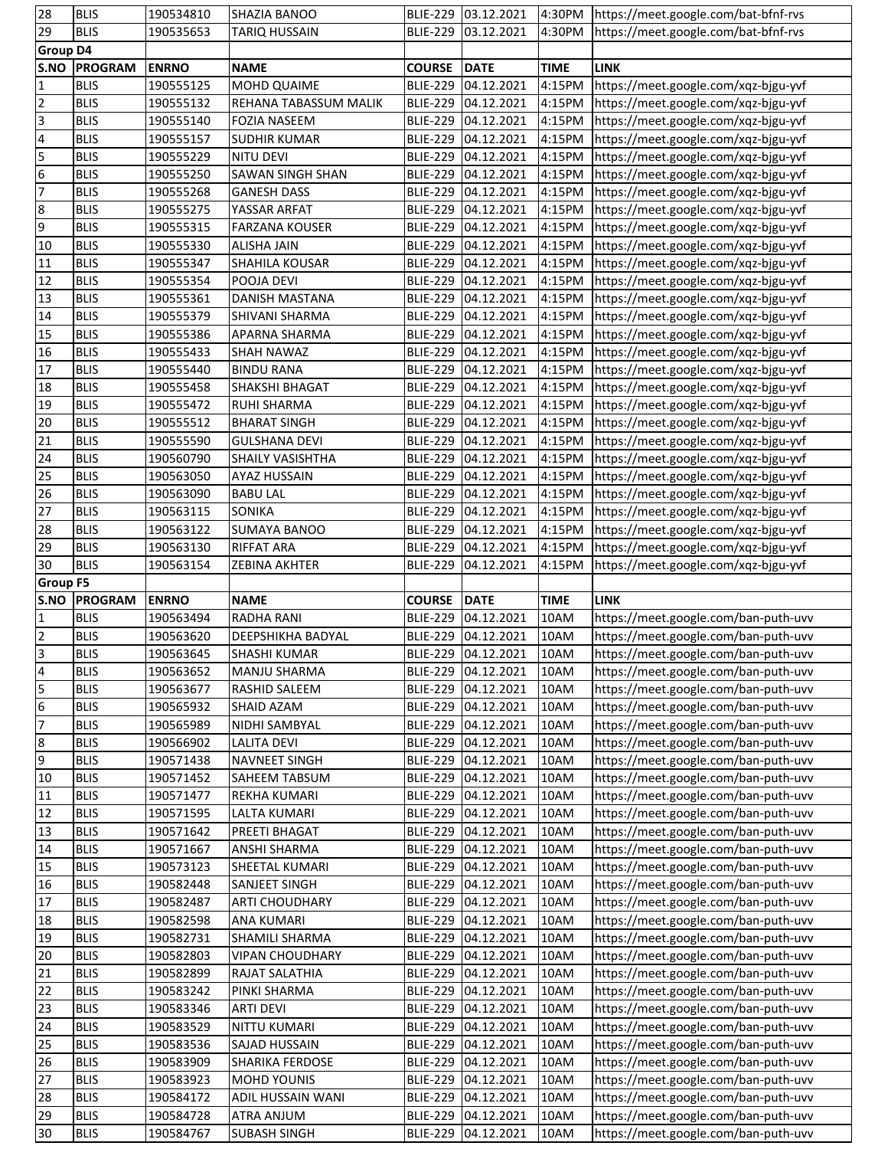| 28                      | <b>BLIS</b>    | 190534810    | SHAZIA BANOO            |                 | BLIE-229 03.12.2021 |             | 4:30PM https://meet.google.com/bat-bfnf-rvs |
|-------------------------|----------------|--------------|-------------------------|-----------------|---------------------|-------------|---------------------------------------------|
| 29                      | <b>BLIS</b>    | 190535653    | <b>TARIQ HUSSAIN</b>    |                 | BLIE-229 03.12.2021 | 4:30PM      | https://meet.google.com/bat-bfnf-rvs        |
| <b>Group D4</b>         |                |              |                         |                 |                     |             |                                             |
| S.NO                    | <b>PROGRAM</b> | <b>ENRNO</b> | <b>NAME</b>             | <b>COURSE</b>   | DATE                | <b>TIME</b> | <b>LINK</b>                                 |
| $\mathbf{1}$            | <b>BLIS</b>    | 190555125    | MOHD QUAIME             |                 | BLIE-229 04.12.2021 | 4:15PM      | https://meet.google.com/xqz-bjgu-yvf        |
| $\overline{2}$          | <b>BLIS</b>    | 190555132    | REHANA TABASSUM MALIK   |                 | BLIE-229 04.12.2021 | 4:15PM      | https://meet.google.com/xqz-bjgu-yvf        |
| $\overline{\mathsf{3}}$ | <b>BLIS</b>    | 190555140    | <b>FOZIA NASEEM</b>     |                 | BLIE-229 04.12.2021 | 4:15PM      | https://meet.google.com/xqz-bjgu-yvf        |
| 4                       | <b>BLIS</b>    | 190555157    | <b>SUDHIR KUMAR</b>     |                 | BLIE-229 04.12.2021 | 4:15PM      | https://meet.google.com/xqz-bjgu-yvf        |
| 5                       | <b>BLIS</b>    | 190555229    | <b>NITU DEVI</b>        |                 | BLIE-229 04.12.2021 | 4:15PM      | https://meet.google.com/xqz-bjgu-yvf        |
|                         | <b>BLIS</b>    | 190555250    | <b>SAWAN SINGH SHAN</b> |                 | BLIE-229 04.12.2021 | 4:15PM      | https://meet.google.com/xqz-bjgu-yvf        |
| $\frac{6}{7}$           | <b>BLIS</b>    | 190555268    | <b>GANESH DASS</b>      |                 | BLIE-229 04.12.2021 | 4:15PM      | https://meet.google.com/xqz-bjgu-yvf        |
|                         |                |              |                         |                 |                     |             | https://meet.google.com/xqz-bjgu-yvf        |
| 8                       | <b>BLIS</b>    | 190555275    | YASSAR ARFAT            |                 | BLIE-229 04.12.2021 | 4:15PM      |                                             |
| 9                       | <b>BLIS</b>    | 190555315    | <b>FARZANA KOUSER</b>   | <b>BLIE-229</b> | 04.12.2021          | 4:15PM      | https://meet.google.com/xqz-bjgu-yvf        |
| 10                      | <b>BLIS</b>    | 190555330    | <b>ALISHA JAIN</b>      | <b>BLIE-229</b> | 04.12.2021          | 4:15PM      | https://meet.google.com/xqz-bjgu-yvf        |
| 11                      | <b>BLIS</b>    | 190555347    | SHAHILA KOUSAR          |                 | BLIE-229 04.12.2021 | 4:15PM      | https://meet.google.com/xqz-bjgu-yvf        |
| 12                      | <b>BLIS</b>    | 190555354    | POOJA DEVI              |                 | BLIE-229 04.12.2021 | 4:15PM      | https://meet.google.com/xqz-bjgu-yvf        |
| 13                      | <b>BLIS</b>    | 190555361    | DANISH MASTANA          |                 | BLIE-229 04.12.2021 | 4:15PM      | https://meet.google.com/xqz-bjgu-yvf        |
| 14                      | <b>BLIS</b>    | 190555379    | SHIVANI SHARMA          | <b>BLIE-229</b> | 04.12.2021          | 4:15PM      | https://meet.google.com/xqz-bjgu-yvf        |
| 15                      | <b>BLIS</b>    | 190555386    | APARNA SHARMA           |                 | BLIE-229 04.12.2021 | 4:15PM      | https://meet.google.com/xqz-bjgu-yvf        |
| 16                      | <b>BLIS</b>    | 190555433    | <b>SHAH NAWAZ</b>       |                 | BLIE-229 04.12.2021 | 4:15PM      | https://meet.google.com/xqz-bjgu-yvf        |
| 17                      | <b>BLIS</b>    | 190555440    | <b>BINDU RANA</b>       |                 | BLIE-229 04.12.2021 | 4:15PM      | https://meet.google.com/xqz-bjgu-yvf        |
| 18                      | <b>BLIS</b>    | 190555458    | SHAKSHI BHAGAT          |                 | BLIE-229 04.12.2021 | 4:15PM      | https://meet.google.com/xqz-bjgu-yvf        |
| 19                      | <b>BLIS</b>    | 190555472    | <b>RUHI SHARMA</b>      |                 | BLIE-229 04.12.2021 | 4:15PM      | https://meet.google.com/xqz-bjgu-yvf        |
| 20                      | <b>BLIS</b>    | 190555512    | <b>BHARAT SINGH</b>     |                 | BLIE-229 04.12.2021 | 4:15PM      | https://meet.google.com/xqz-bjgu-yvf        |
| 21                      | <b>BLIS</b>    | 190555590    | <b>GULSHANA DEVI</b>    |                 | BLIE-229 04.12.2021 | 4:15PM      | https://meet.google.com/xqz-bjgu-yvf        |
| 24                      | <b>BLIS</b>    | 190560790    | <b>SHAILY VASISHTHA</b> |                 | BLIE-229 04.12.2021 | 4:15PM      | https://meet.google.com/xqz-bjgu-yvf        |
| 25                      | <b>BLIS</b>    | 190563050    | <b>AYAZ HUSSAIN</b>     |                 | BLIE-229 04.12.2021 | 4:15PM      | https://meet.google.com/xqz-bjgu-yvf        |
| 26                      | <b>BLIS</b>    | 190563090    | <b>BABU LAL</b>         |                 | BLIE-229 04.12.2021 | 4:15PM      | https://meet.google.com/xqz-bjgu-yvf        |
| 27                      | <b>BLIS</b>    | 190563115    | <b>SONIKA</b>           |                 | BLIE-229 04.12.2021 | 4:15PM      | https://meet.google.com/xqz-bjgu-yvf        |
| 28                      | <b>BLIS</b>    | 190563122    | <b>SUMAYA BANOO</b>     |                 | BLIE-229 04.12.2021 | 4:15PM      | https://meet.google.com/xqz-bjgu-yvf        |
| 29                      | <b>BLIS</b>    | 190563130    | <b>RIFFAT ARA</b>       |                 | BLIE-229 04.12.2021 | 4:15PM      | https://meet.google.com/xqz-bjgu-yvf        |
| 30                      | <b>BLIS</b>    | 190563154    | <b>ZEBINA AKHTER</b>    | <b>BLIE-229</b> | 04.12.2021          | 4:15PM      | https://meet.google.com/xqz-bjgu-yvf        |
| <b>Group F5</b>         |                |              |                         |                 |                     |             |                                             |
| S.NO                    | PROGRAM        | <b>ENRNO</b> | <b>NAME</b>             | <b>COURSE</b>   | DATE                | <b>TIME</b> | <b>LINK</b>                                 |
|                         | <b>BLIS</b>    | 190563494    | <b>RADHA RANI</b>       | <b>BLIE-229</b> | 04.12.2021          | 10AM        | https://meet.google.com/ban-puth-uvv        |
| 1                       | <b>BLIS</b>    | 190563620    |                         |                 | BLIE-229 04.12.2021 | 10AM        | https://meet.google.com/ban-puth-uvv        |
| 2<br>$\overline{3}$     |                |              | DEEPSHIKHA BADYAL       |                 |                     |             |                                             |
|                         | <b>BLIS</b>    | 190563645    | <b>SHASHI KUMAR</b>     |                 | BLIE-229 04.12.2021 | 10AM        | https://meet.google.com/ban-puth-uvv        |
| $\overline{4}$          | <b>BLIS</b>    | 190563652    | <b>MANJU SHARMA</b>     |                 | BLIE-229 04.12.2021 | 10AM        | https://meet.google.com/ban-puth-uvv        |
| 5                       | <b>BLIS</b>    | 190563677    | RASHID SALEEM           |                 | BLIE-229 04.12.2021 | 10AM        | https://meet.google.com/ban-puth-uvv        |
| $6\overline{6}$         | <b>BLIS</b>    | 190565932    | SHAID AZAM              |                 | BLIE-229 04.12.2021 | 10AM        | https://meet.google.com/ban-puth-uvv        |
| 7                       | <b>BLIS</b>    | 190565989    | NIDHI SAMBYAL           |                 | BLIE-229 04.12.2021 | 10AM        | https://meet.google.com/ban-puth-uvv        |
| 8                       | <b>BLIS</b>    | 190566902    | <b>LALITA DEVI</b>      |                 | BLIE-229 04.12.2021 | 10AM        | https://meet.google.com/ban-puth-uvv        |
| 9                       | <b>BLIS</b>    | 190571438    | NAVNEET SINGH           | <b>BLIE-229</b> | 04.12.2021          | 10AM        | https://meet.google.com/ban-puth-uvv        |
| 10                      | <b>BLIS</b>    | 190571452    | SAHEEM TABSUM           |                 | BLIE-229 04.12.2021 | 10AM        | https://meet.google.com/ban-puth-uvv        |
| 11                      | <b>BLIS</b>    | 190571477    | REKHA KUMARI            |                 | BLIE-229 04.12.2021 | 10AM        | https://meet.google.com/ban-puth-uvv        |
| 12                      | <b>BLIS</b>    | 190571595    | <b>LALTA KUMARI</b>     |                 | BLIE-229 04.12.2021 | 10AM        | https://meet.google.com/ban-puth-uvv        |
| 13                      | <b>BLIS</b>    | 190571642    | PREETI BHAGAT           |                 | BLIE-229 04.12.2021 | 10AM        | https://meet.google.com/ban-puth-uvv        |
| 14                      | <b>BLIS</b>    | 190571667    | <b>ANSHI SHARMA</b>     |                 | BLIE-229 04.12.2021 | 10AM        | https://meet.google.com/ban-puth-uvv        |
| 15                      | <b>BLIS</b>    | 190573123    | SHEETAL KUMARI          |                 | BLIE-229 04.12.2021 | 10AM        | https://meet.google.com/ban-puth-uvv        |
| 16                      | <b>BLIS</b>    | 190582448    | <b>SANJEET SINGH</b>    |                 | BLIE-229 04.12.2021 | 10AM        | https://meet.google.com/ban-puth-uvv        |
| 17                      | <b>BLIS</b>    | 190582487    | <b>ARTI CHOUDHARY</b>   |                 | BLIE-229 04.12.2021 | 10AM        | https://meet.google.com/ban-puth-uvv        |
| 18                      | <b>BLIS</b>    | 190582598    | <b>ANA KUMARI</b>       |                 | BLIE-229 04.12.2021 | 10AM        | https://meet.google.com/ban-puth-uvv        |
| 19                      | <b>BLIS</b>    | 190582731    | SHAMILI SHARMA          |                 | BLIE-229 04.12.2021 | 10AM        | https://meet.google.com/ban-puth-uvv        |
| 20                      | <b>BLIS</b>    | 190582803    | <b>VIPAN CHOUDHARY</b>  |                 | BLIE-229 04.12.2021 | 10AM        | https://meet.google.com/ban-puth-uvv        |
| 21                      | <b>BLIS</b>    | 190582899    | RAJAT SALATHIA          |                 | BLIE-229 04.12.2021 | 10AM        | https://meet.google.com/ban-puth-uvv        |
| 22                      | <b>BLIS</b>    | 190583242    | PINKI SHARMA            |                 | BLIE-229 04.12.2021 | 10AM        | https://meet.google.com/ban-puth-uvv        |
| 23                      | <b>BLIS</b>    | 190583346    | <b>ARTI DEVI</b>        | <b>BLIE-229</b> | 04.12.2021          | 10AM        | https://meet.google.com/ban-puth-uvv        |
| 24                      | <b>BLIS</b>    | 190583529    | <b>NITTU KUMARI</b>     |                 | BLIE-229 04.12.2021 | 10AM        | https://meet.google.com/ban-puth-uvv        |
| 25                      | <b>BLIS</b>    | 190583536    | <b>SAJAD HUSSAIN</b>    | <b>BLIE-229</b> | 04.12.2021          | 10AM        | https://meet.google.com/ban-puth-uvv        |
|                         |                |              |                         |                 |                     |             |                                             |
| 26                      | <b>BLIS</b>    | 190583909    | SHARIKA FERDOSE         | <b>BLIE-229</b> | 04.12.2021          | 10AM        | https://meet.google.com/ban-puth-uvv        |
| 27                      | <b>BLIS</b>    | 190583923    | <b>MOHD YOUNIS</b>      | <b>BLIE-229</b> | 04.12.2021          | 10AM        | https://meet.google.com/ban-puth-uvv        |
| 28                      | <b>BLIS</b>    | 190584172    | ADIL HUSSAIN WANI       | <b>BLIE-229</b> | 04.12.2021          | 10AM        | https://meet.google.com/ban-puth-uvv        |
| 29                      | <b>BLIS</b>    | 190584728    | ATRA ANJUM              | <b>BLIE-229</b> | 04.12.2021          | 10AM        | https://meet.google.com/ban-puth-uvv        |
| 30 <sub>o</sub>         | <b>BLIS</b>    | 190584767    | <b>SUBASH SINGH</b>     | <b>BLIE-229</b> | 04.12.2021          | 10AM        | https://meet.google.com/ban-puth-uvv        |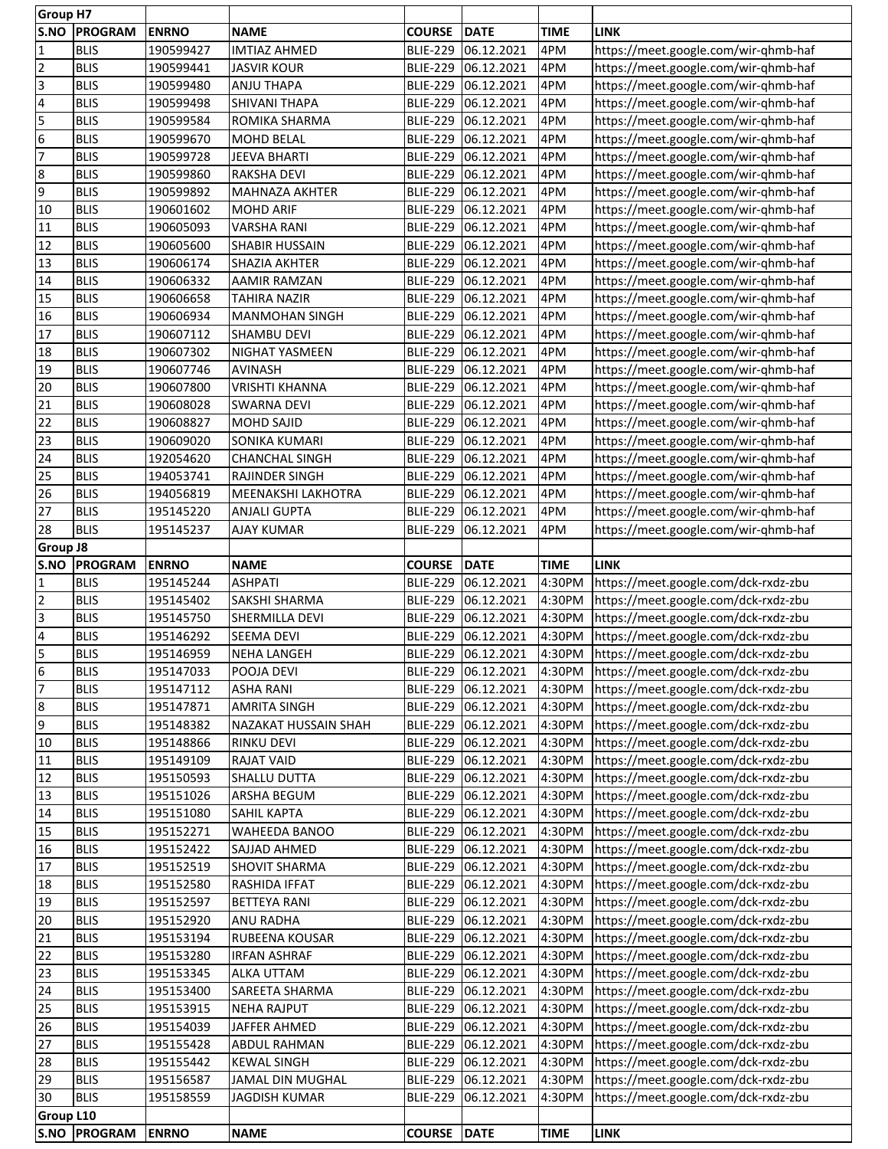|                          | <b>Group H7</b> |              |                       |                 |                     |             |                                      |
|--------------------------|-----------------|--------------|-----------------------|-----------------|---------------------|-------------|--------------------------------------|
| S.NO                     | <b>PROGRAM</b>  | <b>ENRNO</b> | <b>NAME</b>           | <b>COURSE</b>   | DATE                | <b>TIME</b> | <b>LINK</b>                          |
| $\mathbf{1}$             | <b>BLIS</b>     | 190599427    | <b>IMTIAZ AHMED</b>   | <b>BLIE-229</b> | 06.12.2021          | 4PM         | https://meet.google.com/wir-qhmb-haf |
| $\overline{2}$           | <b>BLIS</b>     | 190599441    | <b>JASVIR KOUR</b>    | <b>BLIE-229</b> | 06.12.2021          | 4PM         | https://meet.google.com/wir-qhmb-haf |
| $\overline{\mathsf{3}}$  | <b>BLIS</b>     | 190599480    | <b>ANJU THAPA</b>     | <b>BLIE-229</b> | 06.12.2021          | 4PM         | https://meet.google.com/wir-qhmb-haf |
| $\overline{\mathcal{A}}$ | <b>BLIS</b>     | 190599498    | <b>SHIVANI THAPA</b>  | <b>BLIE-229</b> | 06.12.2021          | 4PM         | https://meet.google.com/wir-qhmb-haf |
|                          | <b>BLIS</b>     | 190599584    | ROMIKA SHARMA         | <b>BLIE-229</b> | 06.12.2021          | 4PM         |                                      |
| 5                        |                 |              |                       |                 |                     |             | https://meet.google.com/wir-qhmb-haf |
| 6                        | <b>BLIS</b>     | 190599670    | <b>MOHD BELAL</b>     | <b>BLIE-229</b> | 06.12.2021          | 4PM         | https://meet.google.com/wir-qhmb-haf |
| 7                        | <b>BLIS</b>     | 190599728    | <b>JEEVA BHARTI</b>   | <b>BLIE-229</b> | 06.12.2021          | 4PM         | https://meet.google.com/wir-qhmb-haf |
| $\overline{8}$           | <b>BLIS</b>     | 190599860    | <b>RAKSHA DEVI</b>    | <b>BLIE-229</b> | 06.12.2021          | 4PM         | https://meet.google.com/wir-qhmb-haf |
| 9                        | <b>BLIS</b>     | 190599892    | <b>MAHNAZA AKHTER</b> | <b>BLIE-229</b> | 06.12.2021          | 4PM         | https://meet.google.com/wir-qhmb-haf |
| 10                       | <b>BLIS</b>     | 190601602    | <b>MOHD ARIF</b>      | <b>BLIE-229</b> | 06.12.2021          | 4PM         | https://meet.google.com/wir-qhmb-haf |
| 11                       | <b>BLIS</b>     | 190605093    | <b>VARSHA RANI</b>    | <b>BLIE-229</b> | 06.12.2021          | 4PM         | https://meet.google.com/wir-qhmb-haf |
| 12                       | <b>BLIS</b>     | 190605600    | <b>SHABIR HUSSAIN</b> | <b>BLIE-229</b> | 06.12.2021          | 4PM         | https://meet.google.com/wir-qhmb-haf |
| 13                       | <b>BLIS</b>     | 190606174    | SHAZIA AKHTER         | <b>BLIE-229</b> | 06.12.2021          | 4PM         | https://meet.google.com/wir-qhmb-haf |
| 14                       | <b>BLIS</b>     | 190606332    | AAMIR RAMZAN          | <b>BLIE-229</b> | 06.12.2021          | 4PM         | https://meet.google.com/wir-qhmb-haf |
|                          |                 |              |                       |                 |                     |             |                                      |
| 15                       | <b>BLIS</b>     | 190606658    | <b>TAHIRA NAZIR</b>   | <b>BLIE-229</b> | 06.12.2021          | 4PM         | https://meet.google.com/wir-qhmb-haf |
| 16                       | <b>BLIS</b>     | 190606934    | <b>MANMOHAN SINGH</b> | <b>BLIE-229</b> | 06.12.2021          | 4PM         | https://meet.google.com/wir-qhmb-haf |
| 17                       | <b>BLIS</b>     | 190607112    | <b>SHAMBU DEVI</b>    | <b>BLIE-229</b> | 06.12.2021          | 4PM         | https://meet.google.com/wir-qhmb-haf |
| 18                       | <b>BLIS</b>     | 190607302    | NIGHAT YASMEEN        | <b>BLIE-229</b> | 06.12.2021          | 4PM         | https://meet.google.com/wir-qhmb-haf |
| 19                       | <b>BLIS</b>     | 190607746    | <b>AVINASH</b>        | <b>BLIE-229</b> | 06.12.2021          | 4PM         | https://meet.google.com/wir-qhmb-haf |
| 20                       | <b>BLIS</b>     | 190607800    | <b>VRISHTI KHANNA</b> | <b>BLIE-229</b> | 06.12.2021          | 4PM         | https://meet.google.com/wir-qhmb-haf |
| 21                       | <b>BLIS</b>     | 190608028    | <b>SWARNA DEVI</b>    | <b>BLIE-229</b> | 06.12.2021          | 4PM         | https://meet.google.com/wir-qhmb-haf |
| $\overline{22}$          | <b>BLIS</b>     | 190608827    | <b>MOHD SAJID</b>     | <b>BLIE-229</b> | 06.12.2021          | 4PM         | https://meet.google.com/wir-qhmb-haf |
| 23                       | <b>BLIS</b>     | 190609020    | <b>SONIKA KUMARI</b>  | <b>BLIE-229</b> | 06.12.2021          | 4PM         | https://meet.google.com/wir-qhmb-haf |
|                          |                 |              |                       |                 |                     |             |                                      |
| 24                       | <b>BLIS</b>     | 192054620    | <b>CHANCHAL SINGH</b> | <b>BLIE-229</b> | 06.12.2021          | 4PM         | https://meet.google.com/wir-qhmb-haf |
| 25                       | <b>BLIS</b>     | 194053741    | RAJINDER SINGH        | <b>BLIE-229</b> | 06.12.2021          | 4PM         | https://meet.google.com/wir-qhmb-haf |
| 26                       | <b>BLIS</b>     | 194056819    | MEENAKSHI LAKHOTRA    | <b>BLIE-229</b> | 06.12.2021          | 4PM         | https://meet.google.com/wir-qhmb-haf |
| 27                       | <b>BLIS</b>     | 195145220    | <b>ANJALI GUPTA</b>   | <b>BLIE-229</b> | 06.12.2021          | 4PM         | https://meet.google.com/wir-qhmb-haf |
| 28                       | <b>BLIS</b>     | 195145237    | <b>AJAY KUMAR</b>     | <b>BLIE-229</b> | 06.12.2021          | 4PM         | https://meet.google.com/wir-qhmb-haf |
| <b>Group J8</b>          |                 |              |                       |                 |                     |             |                                      |
| S.NO                     | <b>PROGRAM</b>  | <b>ENRNO</b> | <b>NAME</b>           | <b>COURSE</b>   | <b>DATE</b>         | <b>TIME</b> | <b>LINK</b>                          |
| $\mathbf{1}$             | <b>BLIS</b>     | 195145244    | <b>ASHPATI</b>        | <b>BLIE-229</b> | 06.12.2021          | 4:30PM      | https://meet.google.com/dck-rxdz-zbu |
| $\overline{2}$           | <b>BLIS</b>     | 195145402    | SAKSHI SHARMA         | <b>BLIE-229</b> | 06.12.2021          | 4:30PM      | https://meet.google.com/dck-rxdz-zbu |
| $\overline{3}$           | <b>BLIS</b>     | 195145750    | SHERMILLA DEVI        | <b>BLIE-229</b> | 06.12.2021          | 4:30PM      | https://meet.google.com/dck-rxdz-zbu |
|                          |                 |              |                       |                 |                     |             |                                      |
|                          |                 |              |                       |                 |                     |             |                                      |
| $\overline{\mathbf{4}}$  | <b>BLIS</b>     | 195146292    | <b>SEEMA DEVI</b>     | <b>BLIE-229</b> | 06.12.2021          | 4:30PM      | https://meet.google.com/dck-rxdz-zbu |
| 5                        | <b>BLIS</b>     | 195146959    | <b>NEHA LANGEH</b>    | <b>BLIE-229</b> | 06.12.2021          | 4:30PM      | https://meet.google.com/dck-rxdz-zbu |
|                          | <b>BLIS</b>     | 195147033    | POOJA DEVI            |                 | BLIE-229 06.12.2021 | 4:30PM      | https://meet.google.com/dck-rxdz-zbu |
| $\frac{6}{7}$            | <b>BLIS</b>     | 195147112    | <b>ASHA RANI</b>      |                 | BLIE-229 06.12.2021 | 4:30PM      | https://meet.google.com/dck-rxdz-zbu |
| $\overline{8}$           | <b>BLIS</b>     | 195147871    | <b>AMRITA SINGH</b>   |                 | BLIE-229 06.12.2021 | 4:30PM      | https://meet.google.com/dck-rxdz-zbu |
| 9                        | <b>BLIS</b>     | 195148382    | NAZAKAT HUSSAIN SHAH  |                 | BLIE-229 06.12.2021 | 4:30PM      | https://meet.google.com/dck-rxdz-zbu |
|                          |                 |              | RINKU DEVI            |                 |                     |             |                                      |
| 10                       | <b>BLIS</b>     | 195148866    |                       | <b>BLIE-229</b> | 06.12.2021          | 4:30PM      | https://meet.google.com/dck-rxdz-zbu |
| 11                       | <b>BLIS</b>     | 195149109    | <b>RAJAT VAID</b>     | <b>BLIE-229</b> | 06.12.2021          | 4:30PM      | https://meet.google.com/dck-rxdz-zbu |
| 12                       | <b>BLIS</b>     | 195150593    | SHALLU DUTTA          |                 | BLIE-229 06.12.2021 | 4:30PM      | https://meet.google.com/dck-rxdz-zbu |
| 13                       | <b>BLIS</b>     | 195151026    | ARSHA BEGUM           |                 | BLIE-229 06.12.2021 | 4:30PM      | https://meet.google.com/dck-rxdz-zbu |
| 14                       | <b>BLIS</b>     | 195151080    | SAHIL KAPTA           | <b>BLIE-229</b> | 06.12.2021          | 4:30PM      | https://meet.google.com/dck-rxdz-zbu |
| 15                       | <b>BLIS</b>     | 195152271    | WAHEEDA BANOO         | <b>BLIE-229</b> | 06.12.2021          | 4:30PM      | https://meet.google.com/dck-rxdz-zbu |
| 16                       | <b>BLIS</b>     | 195152422    | SAJJAD AHMED          | <b>BLIE-229</b> | 06.12.2021          | 4:30PM      | https://meet.google.com/dck-rxdz-zbu |
| 17                       | <b>BLIS</b>     | 195152519    | <b>SHOVIT SHARMA</b>  |                 | BLIE-229 06.12.2021 | 4:30PM      | https://meet.google.com/dck-rxdz-zbu |
| 18                       | <b>BLIS</b>     | 195152580    | RASHIDA IFFAT         |                 | BLIE-229 06.12.2021 | 4:30PM      | https://meet.google.com/dck-rxdz-zbu |
| 19                       | <b>BLIS</b>     | 195152597    | <b>BETTEYA RANI</b>   |                 | BLIE-229 06.12.2021 | 4:30PM      | https://meet.google.com/dck-rxdz-zbu |
|                          | <b>BLIS</b>     | 195152920    | <b>ANU RADHA</b>      |                 | BLIE-229 06.12.2021 | 4:30PM      | https://meet.google.com/dck-rxdz-zbu |
| 20                       |                 |              |                       |                 |                     |             |                                      |
| 21                       | <b>BLIS</b>     | 195153194    | RUBEENA KOUSAR        |                 | BLIE-229 06.12.2021 | 4:30PM      | https://meet.google.com/dck-rxdz-zbu |
| 22                       | <b>BLIS</b>     | 195153280    | <b>IRFAN ASHRAF</b>   |                 | BLIE-229 06.12.2021 | 4:30PM      | https://meet.google.com/dck-rxdz-zbu |
| 23                       | <b>BLIS</b>     | 195153345    | <b>ALKA UTTAM</b>     |                 | BLIE-229 06.12.2021 | 4:30PM      | https://meet.google.com/dck-rxdz-zbu |
| 24                       | <b>BLIS</b>     | 195153400    | SAREETA SHARMA        |                 | BLIE-229 06.12.2021 | 4:30PM      | https://meet.google.com/dck-rxdz-zbu |
| 25                       | <b>BLIS</b>     | 195153915    | <b>NEHA RAJPUT</b>    | <b>BLIE-229</b> | 06.12.2021          | 4:30PM      | https://meet.google.com/dck-rxdz-zbu |
| 26                       | <b>BLIS</b>     | 195154039    | JAFFER AHMED          | <b>BLIE-229</b> | 06.12.2021          | 4:30PM      | https://meet.google.com/dck-rxdz-zbu |
| 27                       | <b>BLIS</b>     | 195155428    | <b>ABDUL RAHMAN</b>   | <b>BLIE-229</b> | 06.12.2021          | 4:30PM      | https://meet.google.com/dck-rxdz-zbu |
| 28                       | <b>BLIS</b>     | 195155442    | <b>KEWAL SINGH</b>    | <b>BLIE-229</b> | 06.12.2021          | 4:30PM      | https://meet.google.com/dck-rxdz-zbu |
| 29                       | <b>BLIS</b>     | 195156587    | JAMAL DIN MUGHAL      | <b>BLIE-229</b> | 06.12.2021          | 4:30PM      | https://meet.google.com/dck-rxdz-zbu |
| $\overline{30}$          | <b>BLIS</b>     | 195158559    | <b>JAGDISH KUMAR</b>  | <b>BLIE-229</b> | 06.12.2021          | 4:30PM      | https://meet.google.com/dck-rxdz-zbu |
|                          |                 |              |                       |                 |                     |             |                                      |
| <b>Group L10</b>         | S.NO PROGRAM    | <b>ENRNO</b> | <b>NAME</b>           | <b>COURSE</b>   | <b>DATE</b>         | <b>TIME</b> | <b>LINK</b>                          |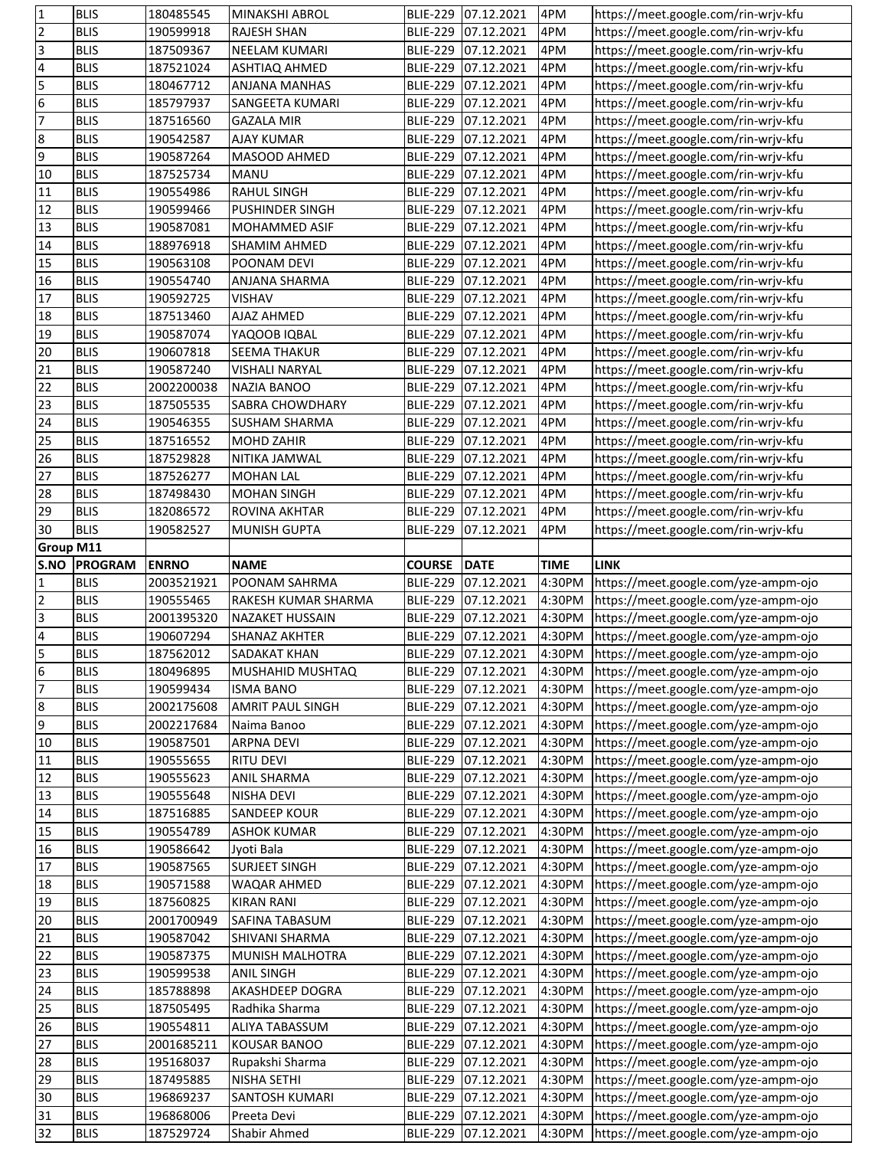| 1                                                        | <b>BLIS</b>                | 180485545              | <b>MINAKSHI ABROL</b>       |                                    | BLIE-229 07.12.2021      | 4PM              | https://meet.google.com/rin-wrjv-kfu                                         |
|----------------------------------------------------------|----------------------------|------------------------|-----------------------------|------------------------------------|--------------------------|------------------|------------------------------------------------------------------------------|
| $\overline{2}$                                           | <b>BLIS</b>                | 190599918              | <b>RAJESH SHAN</b>          | <b>BLIE-229</b>                    | 07.12.2021               | 4PM              | https://meet.google.com/rin-wrjv-kfu                                         |
| $\overline{3}$                                           | <b>BLIS</b>                | 187509367              | <b>NEELAM KUMARI</b>        | <b>BLIE-229</b>                    | 07.12.2021               | 4PM              | https://meet.google.com/rin-wrjv-kfu                                         |
| $\overline{\mathbf{r}}$                                  | <b>BLIS</b>                | 187521024              | ASHTIAQ AHMED               | <b>BLIE-229</b>                    | 07.12.2021               | 4PM              | https://meet.google.com/rin-wrjv-kfu                                         |
| 5                                                        | <b>BLIS</b>                | 180467712              | ANJANA MANHAS               | <b>BLIE-229</b>                    | 07.12.2021               | 4PM              | https://meet.google.com/rin-wrjv-kfu                                         |
| $6\overline{6}$                                          | <b>BLIS</b>                | 185797937              | SANGEETA KUMARI             | <b>BLIE-229</b>                    | 07.12.2021               | 4PM              | https://meet.google.com/rin-wrjv-kfu                                         |
| 7                                                        | <b>BLIS</b>                |                        |                             |                                    |                          |                  |                                                                              |
|                                                          |                            | 187516560              | <b>GAZALA MIR</b>           | <b>BLIE-229</b>                    | 07.12.2021               | 4PM              | https://meet.google.com/rin-wrjv-kfu                                         |
| 8                                                        | <b>BLIS</b>                | 190542587              | <b>AJAY KUMAR</b>           | <b>BLIE-229</b>                    | 07.12.2021               | 4PM              | https://meet.google.com/rin-wrjv-kfu                                         |
| $\overline{9}$                                           | <b>BLIS</b>                | 190587264              | MASOOD AHMED                | <b>BLIE-229</b>                    | 07.12.2021               | 4PM              | https://meet.google.com/rin-wrjv-kfu                                         |
| 10                                                       | <b>BLIS</b>                | 187525734              | <b>MANU</b>                 | <b>BLIE-229</b>                    | 07.12.2021               | 4PM              | https://meet.google.com/rin-wrjv-kfu                                         |
| $\overline{11}$                                          | <b>BLIS</b>                | 190554986              | <b>RAHUL SINGH</b>          | <b>BLIE-229</b>                    | 07.12.2021               | 4PM              | https://meet.google.com/rin-wrjv-kfu                                         |
| 12                                                       | <b>BLIS</b>                | 190599466              | <b>PUSHINDER SINGH</b>      | <b>BLIE-229</b>                    | 07.12.2021               | 4PM              | https://meet.google.com/rin-wrjv-kfu                                         |
| 13                                                       | <b>BLIS</b>                | 190587081              | MOHAMMED ASIF               | <b>BLIE-229</b>                    | 07.12.2021               | 4PM              | https://meet.google.com/rin-wrjv-kfu                                         |
| $\overline{14}$                                          | <b>BLIS</b>                | 188976918              | SHAMIM AHMED                | <b>BLIE-229</b>                    | 07.12.2021               | 4PM              | https://meet.google.com/rin-wrjv-kfu                                         |
| 15                                                       | <b>BLIS</b>                | 190563108              | POONAM DEVI                 | <b>BLIE-229</b>                    | 07.12.2021               | 4PM              | https://meet.google.com/rin-wrjv-kfu                                         |
| 16                                                       | <b>BLIS</b>                | 190554740              |                             |                                    | 07.12.2021               | 4PM              | https://meet.google.com/rin-wrjv-kfu                                         |
|                                                          |                            |                        | ANJANA SHARMA               | <b>BLIE-229</b>                    |                          |                  |                                                                              |
| $\sqrt{17}$                                              | <b>BLIS</b>                | 190592725              | VISHAV                      | <b>BLIE-229</b>                    | 07.12.2021               | 4PM              | https://meet.google.com/rin-wrjv-kfu                                         |
| 18                                                       | <b>BLIS</b>                | 187513460              | AJAZ AHMED                  | <b>BLIE-229</b>                    | 07.12.2021               | 4PM              | https://meet.google.com/rin-wrjv-kfu                                         |
| 19                                                       | <b>BLIS</b>                | 190587074              | YAQOOB IQBAL                | <b>BLIE-229</b>                    | 07.12.2021               | 4PM              | https://meet.google.com/rin-wrjv-kfu                                         |
| 20                                                       | <b>BLIS</b>                | 190607818              | <b>SEEMA THAKUR</b>         | <b>BLIE-229</b>                    | 07.12.2021               | 4PM              | https://meet.google.com/rin-wrjv-kfu                                         |
| 21                                                       | <b>BLIS</b>                | 190587240              | <b>VISHALI NARYAL</b>       | <b>BLIE-229</b>                    | 07.12.2021               | 4PM              | https://meet.google.com/rin-wrjv-kfu                                         |
| $\overline{22}$                                          | <b>BLIS</b>                | 2002200038             | NAZIA BANOO                 | <b>BLIE-229</b>                    | 07.12.2021               | 4PM              | https://meet.google.com/rin-wrjv-kfu                                         |
| 23                                                       | <b>BLIS</b>                | 187505535              | SABRA CHOWDHARY             | <b>BLIE-229</b>                    | 07.12.2021               | 4PM              | https://meet.google.com/rin-wrjv-kfu                                         |
| 24                                                       | <b>BLIS</b>                | 190546355              | <b>SUSHAM SHARMA</b>        | <b>BLIE-229</b>                    | 07.12.2021               | 4PM              | https://meet.google.com/rin-wrjv-kfu                                         |
| 25                                                       |                            |                        |                             |                                    |                          | 4PM              |                                                                              |
|                                                          | <b>BLIS</b>                | 187516552              | <b>MOHD ZAHIR</b>           | <b>BLIE-229</b>                    | 07.12.2021               |                  | https://meet.google.com/rin-wrjv-kfu                                         |
| 26                                                       | <b>BLIS</b>                | 187529828              | NITIKA JAMWAL               | <b>BLIE-229</b>                    | 07.12.2021               | 4PM              | https://meet.google.com/rin-wrjv-kfu                                         |
| 27                                                       | <b>BLIS</b>                | 187526277              | <b>MOHAN LAL</b>            | <b>BLIE-229</b>                    | 07.12.2021               | 4PM              | https://meet.google.com/rin-wrjv-kfu                                         |
| 28                                                       | <b>BLIS</b>                | 187498430              | <b>MOHAN SINGH</b>          | <b>BLIE-229</b>                    | 07.12.2021               | 4PM              | https://meet.google.com/rin-wrjv-kfu                                         |
| 29                                                       | <b>BLIS</b>                | 182086572              | ROVINA AKHTAR               | <b>BLIE-229</b>                    | 07.12.2021               | 4PM              | https://meet.google.com/rin-wrjv-kfu                                         |
| 30                                                       | <b>BLIS</b>                | 190582527              | MUNISH GUPTA                | <b>BLIE-229</b>                    | 07.12.2021               | 4PM              | https://meet.google.com/rin-wrjv-kfu                                         |
| <b>Group M11</b>                                         |                            |                        |                             |                                    |                          |                  |                                                                              |
| S.NO                                                     | <b>PROGRAM</b>             | <b>ENRNO</b>           | <b>NAME</b>                 | <b>COURSE</b>                      | <b>DATE</b>              | <b>TIME</b>      | <b>LINK</b>                                                                  |
|                                                          |                            |                        |                             |                                    |                          |                  |                                                                              |
|                                                          |                            |                        |                             |                                    |                          |                  |                                                                              |
| 1                                                        | <b>BLIS</b>                | 2003521921             | POONAM SAHRMA               | <b>BLIE-229</b>                    | 07.12.2021               | 4:30PM           | https://meet.google.com/yze-ampm-ojo                                         |
| $\overline{2}$                                           | <b>BLIS</b>                | 190555465              | RAKESH KUMAR SHARMA         | <b>BLIE-229</b>                    | 07.12.2021               | 4:30PM           | https://meet.google.com/yze-ampm-ojo                                         |
| $\overline{3}$                                           | <b>BLIS</b>                | 2001395320             | NAZAKET HUSSAIN             | <b>BLIE-229</b>                    | 07.12.2021               | 4:30PM           | https://meet.google.com/yze-ampm-ojo                                         |
|                                                          | <b>BLIS</b>                | 190607294              | SHANAZ AKHTER               | <b>BLIE-229</b>                    | 07.12.2021               | 4:30PM           | https://meet.google.com/yze-ampm-ojo                                         |
| $\overline{\mathbf{r}}$<br>$\overline{5}$                | <b>BLIS</b>                | 187562012              | <b>SADAKAT KHAN</b>         | <b>BLIE-229</b>                    | 07.12.2021               | 4:30PM           | https://meet.google.com/yze-ampm-ojo                                         |
| $6 \overline{}$                                          | <b>BLIS</b>                | 180496895              | MUSHAHID MUSHTAQ            |                                    | BLIE-229 07.12.2021      | 4:30PM           | https://meet.google.com/yze-ampm-ojo                                         |
| $\overline{7}$                                           | <b>BLIS</b>                | 190599434              | <b>ISMA BANO</b>            | <b>BLIE-229</b>                    | 07.12.2021               | 4:30PM           | https://meet.google.com/yze-ampm-ojo                                         |
|                                                          | <b>BLIS</b>                | 2002175608             | AMRIT PAUL SINGH            | <b>BLIE-229</b>                    | 07.12.2021               | 4:30PM           | https://meet.google.com/yze-ampm-ojo                                         |
|                                                          | <b>BLIS</b>                |                        | Naima Banoo                 |                                    |                          | 4:30PM           | https://meet.google.com/yze-ampm-ojo                                         |
| 8<br>9                                                   |                            | 2002217684             |                             | <b>BLIE-229</b>                    | 07.12.2021               |                  |                                                                              |
| 10                                                       | <b>BLIS</b>                | 190587501              | <b>ARPNA DEVI</b>           | <b>BLIE-229</b>                    | 07.12.2021               | 4:30PM           | https://meet.google.com/yze-ampm-ojo                                         |
| 11                                                       | <b>BLIS</b>                | 190555655              | <b>RITU DEVI</b>            | <b>BLIE-229</b>                    | 07.12.2021               | 4:30PM           | https://meet.google.com/yze-ampm-ojo                                         |
| $\sqrt{12}$                                              | <b>BLIS</b>                | 190555623              | <b>ANIL SHARMA</b>          | <b>BLIE-229</b>                    | 07.12.2021               | 4:30PM           | https://meet.google.com/yze-ampm-ojo                                         |
|                                                          | <b>BLIS</b>                | 190555648              | NISHA DEVI                  | <b>BLIE-229</b>                    | 07.12.2021               | 4:30PM           | https://meet.google.com/yze-ampm-ojo                                         |
|                                                          | <b>BLIS</b>                | 187516885              | <b>SANDEEP KOUR</b>         | <b>BLIE-229</b>                    | 07.12.2021               | 4:30PM           | https://meet.google.com/yze-ampm-ojo                                         |
|                                                          | <b>BLIS</b>                | 190554789              | <b>ASHOK KUMAR</b>          | <b>BLIE-229</b>                    | 07.12.2021               | 4:30PM           | https://meet.google.com/yze-ampm-ojo                                         |
|                                                          | <b>BLIS</b>                | 190586642              | Jyoti Bala                  | <b>BLIE-229</b>                    | 07.12.2021               | 4:30PM           | https://meet.google.com/yze-ampm-ojo                                         |
|                                                          | <b>BLIS</b>                | 190587565              | <b>SURJEET SINGH</b>        | <b>BLIE-229</b>                    | 07.12.2021               | 4:30PM           | https://meet.google.com/yze-ampm-ojo                                         |
| 13<br>14<br>15<br>16<br>17<br>18                         | <b>BLIS</b>                | 190571588              | WAQAR AHMED                 | <b>BLIE-229</b>                    | 07.12.2021               | 4:30PM           |                                                                              |
|                                                          |                            |                        |                             |                                    |                          |                  | https://meet.google.com/yze-ampm-ojo                                         |
| 19                                                       | <b>BLIS</b>                | 187560825              | <b>KIRAN RANI</b>           | <b>BLIE-229</b>                    | 07.12.2021               | 4:30PM           | https://meet.google.com/yze-ampm-ojo                                         |
|                                                          | <b>BLIS</b>                | 2001700949             | SAFINA TABASUM              | <b>BLIE-229</b>                    | 07.12.2021               | 4:30PM           | https://meet.google.com/yze-ampm-ojo                                         |
|                                                          | <b>BLIS</b>                | 190587042              | SHIVANI SHARMA              | <b>BLIE-229</b>                    | 07.12.2021               | 4:30PM           | https://meet.google.com/yze-ampm-ojo                                         |
| 20<br>21<br>22                                           | <b>BLIS</b>                | 190587375              | MUNISH MALHOTRA             | <b>BLIE-229</b>                    | 07.12.2021               | 4:30PM           | https://meet.google.com/yze-ampm-ojo                                         |
|                                                          | <b>BLIS</b>                | 190599538              | ANIL SINGH                  | <b>BLIE-229</b>                    | 07.12.2021               | 4:30PM           | https://meet.google.com/yze-ampm-ojo                                         |
|                                                          | <b>BLIS</b>                | 185788898              | AKASHDEEP DOGRA             | <b>BLIE-229</b>                    | 07.12.2021               | 4:30PM           | https://meet.google.com/yze-ampm-ojo                                         |
|                                                          | <b>BLIS</b>                | 187505495              | Radhika Sharma              | <b>BLIE-229</b>                    | 07.12.2021               | 4:30PM           | https://meet.google.com/yze-ampm-ojo                                         |
|                                                          | <b>BLIS</b>                | 190554811              | ALIYA TABASSUM              | <b>BLIE-229</b>                    | 07.12.2021               | 4:30PM           | https://meet.google.com/yze-ampm-ojo                                         |
|                                                          | <b>BLIS</b>                | 2001685211             | <b>KOUSAR BANOO</b>         | <b>BLIE-229</b>                    | 07.12.2021               | 4:30PM           | https://meet.google.com/yze-ampm-ojo                                         |
|                                                          | <b>BLIS</b>                | 195168037              | Rupakshi Sharma             |                                    |                          | 4:30PM           |                                                                              |
|                                                          |                            |                        |                             | <b>BLIE-229</b>                    | 07.12.2021               |                  | https://meet.google.com/yze-ampm-ojo                                         |
|                                                          | <b>BLIS</b>                | 187495885              | <b>NISHA SETHI</b>          | <b>BLIE-229</b>                    | 07.12.2021               | 4:30PM           | https://meet.google.com/yze-ampm-ojo                                         |
|                                                          | <b>BLIS</b>                | 196869237              | SANTOSH KUMARI              | <b>BLIE-229</b>                    | 07.12.2021               | 4:30PM           | https://meet.google.com/yze-ampm-ojo                                         |
| 23<br>24<br>25<br>26<br>27<br>28<br>29<br>30<br>31<br>32 | <b>BLIS</b><br><b>BLIS</b> | 196868006<br>187529724 | Preeta Devi<br>Shabir Ahmed | <b>BLIE-229</b><br><b>BLIE-229</b> | 07.12.2021<br>07.12.2021 | 4:30PM<br>4:30PM | https://meet.google.com/yze-ampm-ojo<br>https://meet.google.com/yze-ampm-ojo |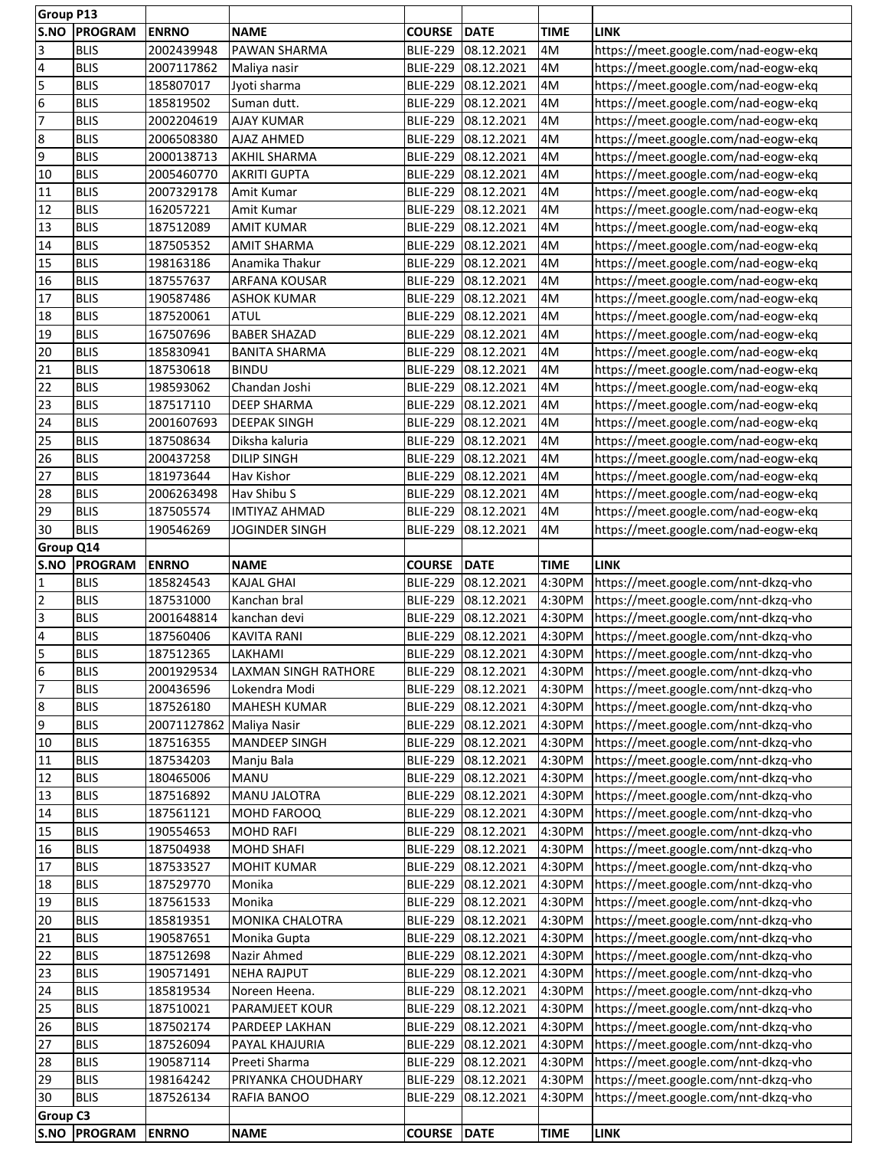| <b>Group P13</b>        |                |              |                             |                 |                     |             |                                      |
|-------------------------|----------------|--------------|-----------------------------|-----------------|---------------------|-------------|--------------------------------------|
| S.NO                    | <b>PROGRAM</b> | <b>ENRNO</b> | <b>NAME</b>                 | <b>COURSE</b>   | DATE                | <b>TIME</b> | <b>LINK</b>                          |
| 3                       | <b>BLIS</b>    | 2002439948   | PAWAN SHARMA                | <b>BLIE-229</b> | 08.12.2021          | 4M          | https://meet.google.com/nad-eogw-ekq |
| 4                       | <b>BLIS</b>    | 2007117862   | Maliya nasir                | <b>BLIE-229</b> | 08.12.2021          | 4M          | https://meet.google.com/nad-eogw-ekq |
| 5                       | <b>BLIS</b>    | 185807017    |                             | <b>BLIE-229</b> | 08.12.2021          | 4M          |                                      |
|                         |                |              | Jyoti sharma                |                 |                     |             | https://meet.google.com/nad-eogw-ekq |
| 6                       | <b>BLIS</b>    | 185819502    | Suman dutt.                 | <b>BLIE-229</b> | 08.12.2021          | 4M          | https://meet.google.com/nad-eogw-ekq |
| $\overline{7}$          | <b>BLIS</b>    | 2002204619   | <b>AJAY KUMAR</b>           | <b>BLIE-229</b> | 08.12.2021          | 4M          | https://meet.google.com/nad-eogw-ekq |
| 8                       | <b>BLIS</b>    | 2006508380   | <b>AJAZ AHMED</b>           | <b>BLIE-229</b> | 08.12.2021          | 4M          | https://meet.google.com/nad-eogw-ekq |
| 9                       | <b>BLIS</b>    | 2000138713   | <b>AKHIL SHARMA</b>         | <b>BLIE-229</b> | 08.12.2021          | 4M          | https://meet.google.com/nad-eogw-ekq |
| 10                      | <b>BLIS</b>    | 2005460770   | <b>AKRITI GUPTA</b>         | <b>BLIE-229</b> | 08.12.2021          | 4M          | https://meet.google.com/nad-eogw-ekq |
|                         |                |              |                             |                 |                     |             |                                      |
| 11                      | <b>BLIS</b>    | 2007329178   | Amit Kumar                  | <b>BLIE-229</b> | 08.12.2021          | 4M          | https://meet.google.com/nad-eogw-ekq |
| 12                      | <b>BLIS</b>    | 162057221    | Amit Kumar                  | <b>BLIE-229</b> | 08.12.2021          | 4M          | https://meet.google.com/nad-eogw-ekq |
| 13                      | <b>BLIS</b>    | 187512089    | <b>AMIT KUMAR</b>           | <b>BLIE-229</b> | 08.12.2021          | 4M          | https://meet.google.com/nad-eogw-ekq |
| 14                      | <b>BLIS</b>    | 187505352    | <b>AMIT SHARMA</b>          | <b>BLIE-229</b> | 08.12.2021          | 4M          | https://meet.google.com/nad-eogw-ekq |
| 15                      | <b>BLIS</b>    | 198163186    | Anamika Thakur              | <b>BLIE-229</b> | 08.12.2021          | 4M          | https://meet.google.com/nad-eogw-ekq |
|                         |                |              |                             |                 |                     |             |                                      |
| 16                      | <b>BLIS</b>    | 187557637    | <b>ARFANA KOUSAR</b>        | <b>BLIE-229</b> | 08.12.2021          | 4M          | https://meet.google.com/nad-eogw-ekq |
| 17                      | <b>BLIS</b>    | 190587486    | <b>ASHOK KUMAR</b>          | <b>BLIE-229</b> | 08.12.2021          | 4M          | https://meet.google.com/nad-eogw-ekq |
| 18                      | <b>BLIS</b>    | 187520061    | <b>ATUL</b>                 | <b>BLIE-229</b> | 08.12.2021          | 4M          | https://meet.google.com/nad-eogw-ekq |
| 19                      | <b>BLIS</b>    | 167507696    | <b>BABER SHAZAD</b>         | <b>BLIE-229</b> | 08.12.2021          | 4M          | https://meet.google.com/nad-eogw-ekq |
| 20                      | <b>BLIS</b>    | 185830941    | <b>BANITA SHARMA</b>        | <b>BLIE-229</b> | 08.12.2021          | 4M          | https://meet.google.com/nad-eogw-ekq |
| 21                      | <b>BLIS</b>    | 187530618    | <b>BINDU</b>                | <b>BLIE-229</b> | 08.12.2021          | 4M          | https://meet.google.com/nad-eogw-ekq |
|                         |                |              |                             |                 |                     |             |                                      |
| 22                      | <b>BLIS</b>    | 198593062    | Chandan Joshi               | <b>BLIE-229</b> | 08.12.2021          | 4M          | https://meet.google.com/nad-eogw-ekq |
| 23                      | <b>BLIS</b>    | 187517110    | <b>DEEP SHARMA</b>          | <b>BLIE-229</b> | 08.12.2021          | 4M          | https://meet.google.com/nad-eogw-ekq |
| 24                      | <b>BLIS</b>    | 2001607693   | <b>DEEPAK SINGH</b>         | <b>BLIE-229</b> | 08.12.2021          | 4M          | https://meet.google.com/nad-eogw-ekq |
| 25                      | <b>BLIS</b>    | 187508634    | Diksha kaluria              | <b>BLIE-229</b> | 08.12.2021          | 4M          | https://meet.google.com/nad-eogw-ekq |
| 26                      | <b>BLIS</b>    | 200437258    | <b>DILIP SINGH</b>          | <b>BLIE-229</b> | 08.12.2021          | 4M          | https://meet.google.com/nad-eogw-ekq |
|                         |                |              |                             |                 |                     |             |                                      |
| 27                      | <b>BLIS</b>    | 181973644    | Hav Kishor                  | <b>BLIE-229</b> | 08.12.2021          | 4M          | https://meet.google.com/nad-eogw-ekq |
| 28                      | <b>BLIS</b>    | 2006263498   | Hav Shibu S                 | <b>BLIE-229</b> | 08.12.2021          | 4M          | https://meet.google.com/nad-eogw-ekq |
| 29                      | <b>BLIS</b>    | 187505574    | <b>IMTIYAZ AHMAD</b>        | <b>BLIE-229</b> | 08.12.2021          | 4M          | https://meet.google.com/nad-eogw-ekq |
| 30                      | <b>BLIS</b>    | 190546269    | <b>JOGINDER SINGH</b>       | <b>BLIE-229</b> | 08.12.2021          | 4M          | https://meet.google.com/nad-eogw-ekq |
| Group Q14               |                |              |                             |                 |                     |             |                                      |
| S.NO                    | <b>PROGRAM</b> | <b>ENRNO</b> | <b>NAME</b>                 | <b>COURSE</b>   | <b>DATE</b>         | <b>TIME</b> | <b>LINK</b>                          |
|                         |                |              |                             |                 |                     |             |                                      |
| $\mathbf{1}$            | <b>BLIS</b>    | 185824543    | <b>KAJAL GHAI</b>           | <b>BLIE-229</b> | 08.12.2021          | 4:30PM      | https://meet.google.com/nnt-dkzq-vho |
| $\overline{2}$          | <b>BLIS</b>    | 187531000    | Kanchan bral                | <b>BLIE-229</b> | 08.12.2021          | 4:30PM      | https://meet.google.com/nnt-dkzq-vho |
| $\overline{3}$          | <b>BLIS</b>    | 2001648814   | kanchan devi                | <b>BLIE-229</b> | 08.12.2021          | 4:30PM      | https://meet.google.com/nnt-dkzq-vho |
| $\overline{\mathbf{4}}$ | <b>BLIS</b>    | 187560406    | <b>KAVITA RANI</b>          | <b>BLIE-229</b> | 08.12.2021          | 4:30PM      | https://meet.google.com/nnt-dkzq-vho |
| 5                       | <b>BLIS</b>    | 187512365    | LAKHAMI                     | <b>BLIE-229</b> | 08.12.2021          | 4:30PM      | https://meet.google.com/nnt-dkzq-vho |
|                         |                |              |                             |                 |                     |             |                                      |
| $\frac{6}{7}$           | <b>BLIS</b>    | 2001929534   | <b>LAXMAN SINGH RATHORE</b> |                 | BLIE-229 08.12.2021 | 4:30PM      | https://meet.google.com/nnt-dkzq-vho |
|                         | <b>BLIS</b>    | 200436596    | Lokendra Modi               | <b>BLIE-229</b> | 08.12.2021          | 4:30PM      | https://meet.google.com/nnt-dkzq-vho |
| 8                       | <b>BLIS</b>    | 187526180    | <b>MAHESH KUMAR</b>         |                 | BLIE-229 08.12.2021 | 4:30PM      | https://meet.google.com/nnt-dkzq-vho |
| 9                       | <b>BLIS</b>    | 20071127862  | Maliya Nasir                | <b>BLIE-229</b> | 08.12.2021          | 4:30PM      | https://meet.google.com/nnt-dkzq-vho |
| 10                      | <b>BLIS</b>    | 187516355    | <b>MANDEEP SINGH</b>        | <b>BLIE-229</b> | 08.12.2021          | 4:30PM      | https://meet.google.com/nnt-dkzq-vho |
| 11                      | <b>BLIS</b>    | 187534203    | Manju Bala                  | <b>BLIE-229</b> | 08.12.2021          | 4:30PM      | https://meet.google.com/nnt-dkzq-vho |
|                         |                |              |                             |                 |                     |             |                                      |
| 12                      | <b>BLIS</b>    | 180465006    | <b>MANU</b>                 | <b>BLIE-229</b> | 08.12.2021          | 4:30PM      | https://meet.google.com/nnt-dkzq-vho |
| 13                      | <b>BLIS</b>    | 187516892    | MANU JALOTRA                | <b>BLIE-229</b> | 08.12.2021          | 4:30PM      | https://meet.google.com/nnt-dkzq-vho |
| 14                      | <b>BLIS</b>    | 187561121    | MOHD FAROOQ                 | <b>BLIE-229</b> | 08.12.2021          | 4:30PM      | https://meet.google.com/nnt-dkzq-vho |
| 15                      | <b>BLIS</b>    | 190554653    | <b>MOHD RAFI</b>            | <b>BLIE-229</b> | 08.12.2021          | 4:30PM      | https://meet.google.com/nnt-dkzq-vho |
| 16                      | <b>BLIS</b>    | 187504938    | <b>MOHD SHAFI</b>           | <b>BLIE-229</b> | 08.12.2021          | 4:30PM      | https://meet.google.com/nnt-dkzq-vho |
| 17                      | <b>BLIS</b>    | 187533527    | <b>MOHIT KUMAR</b>          | <b>BLIE-229</b> | 08.12.2021          | 4:30PM      | https://meet.google.com/nnt-dkzq-vho |
| 18                      |                |              |                             |                 |                     |             |                                      |
|                         | <b>BLIS</b>    | 187529770    | Monika                      |                 | BLIE-229 08.12.2021 | 4:30PM      | https://meet.google.com/nnt-dkzq-vho |
| 19                      | <b>BLIS</b>    | 187561533    | Monika                      | <b>BLIE-229</b> | 08.12.2021          | 4:30PM      | https://meet.google.com/nnt-dkzq-vho |
| 20                      | <b>BLIS</b>    | 185819351    | MONIKA CHALOTRA             | <b>BLIE-229</b> | 08.12.2021          | 4:30PM      | https://meet.google.com/nnt-dkzq-vho |
| 21                      | <b>BLIS</b>    | 190587651    | Monika Gupta                |                 | BLIE-229 08.12.2021 | 4:30PM      | https://meet.google.com/nnt-dkzq-vho |
| 22                      | <b>BLIS</b>    | 187512698    | Nazir Ahmed                 | <b>BLIE-229</b> | 08.12.2021          | 4:30PM      | https://meet.google.com/nnt-dkzq-vho |
| 23                      | <b>BLIS</b>    | 190571491    | <b>NEHA RAJPUT</b>          | <b>BLIE-229</b> | 08.12.2021          | 4:30PM      | https://meet.google.com/nnt-dkzq-vho |
|                         |                |              |                             |                 |                     |             |                                      |
| 24                      | <b>BLIS</b>    | 185819534    | Noreen Heena.               | <b>BLIE-229</b> | 08.12.2021          | 4:30PM      | https://meet.google.com/nnt-dkzq-vho |
| 25                      |                | 187510021    | PARAMJEET KOUR              | <b>BLIE-229</b> | 08.12.2021          | 4:30PM      | https://meet.google.com/nnt-dkzq-vho |
| 26                      | <b>BLIS</b>    |              |                             |                 |                     |             |                                      |
|                         | <b>BLIS</b>    | 187502174    | PARDEEP LAKHAN              | <b>BLIE-229</b> | 08.12.2021          | 4:30PM      | https://meet.google.com/nnt-dkzq-vho |
|                         | <b>BLIS</b>    |              | PAYAL KHAJURIA              |                 |                     |             |                                      |
|                         |                | 187526094    |                             | <b>BLIE-229</b> | 08.12.2021          | 4:30PM      | https://meet.google.com/nnt-dkzq-vho |
| 28                      | <b>BLIS</b>    | 190587114    | Preeti Sharma               | <b>BLIE-229</b> | 08.12.2021          | 4:30PM      | https://meet.google.com/nnt-dkzq-vho |
| 29                      | <b>BLIS</b>    | 198164242    | PRIYANKA CHOUDHARY          | <b>BLIE-229</b> | 08.12.2021          | 4:30PM      | https://meet.google.com/nnt-dkzq-vho |
| 27<br>30                | <b>BLIS</b>    | 187526134    | <b>RAFIA BANOO</b>          | <b>BLIE-229</b> | 08.12.2021          | 4:30PM      | https://meet.google.com/nnt-dkzq-vho |
| <b>Group C3</b>         |                |              |                             |                 |                     |             |                                      |
|                         | S.NO PROGRAM   | <b>ENRNO</b> | <b>NAME</b>                 | <b>COURSE</b>   | DATE                | <b>TIME</b> | <b>LINK</b>                          |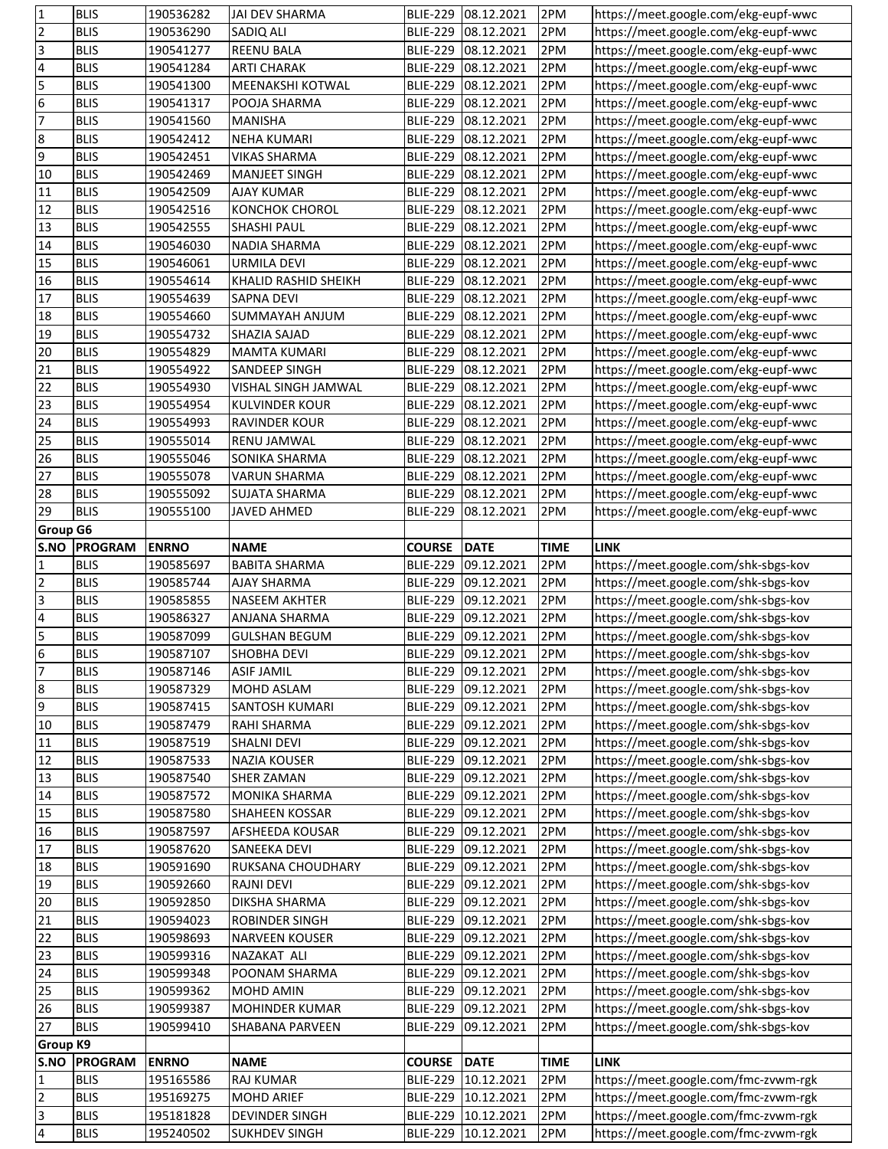| 1                                          | <b>BLIS</b>                | 190536282              | JAI DEV SHARMA                  | <b>BLIE-229</b>                    | 08.12.2021               | 2PM         | https://meet.google.com/ekg-eupf-wwc                                         |
|--------------------------------------------|----------------------------|------------------------|---------------------------------|------------------------------------|--------------------------|-------------|------------------------------------------------------------------------------|
| $\overline{2}$                             | <b>BLIS</b>                | 190536290              | SADIQ ALI                       | <b>BLIE-229</b>                    | 08.12.2021               | 2PM         | https://meet.google.com/ekg-eupf-wwc                                         |
| $\overline{3}$                             | <b>BLIS</b>                | 190541277              | <b>REENU BALA</b>               | <b>BLIE-229</b>                    | 08.12.2021               | 2PM         | https://meet.google.com/ekg-eupf-wwc                                         |
| $\overline{\mathbf{r}}$                    | <b>BLIS</b>                | 190541284              | <b>ARTI CHARAK</b>              | <b>BLIE-229</b>                    | 08.12.2021               | 2PM         | https://meet.google.com/ekg-eupf-wwc                                         |
| 5                                          | <b>BLIS</b>                | 190541300              | MEENAKSHI KOTWAL                | <b>BLIE-229</b>                    | 08.12.2021               | 2PM         | https://meet.google.com/ekg-eupf-wwc                                         |
| $6\overline{6}$                            | <b>BLIS</b>                | 190541317              | POOJA SHARMA                    | <b>BLIE-229</b>                    | 08.12.2021               | 2PM         | https://meet.google.com/ekg-eupf-wwc                                         |
| 7                                          | <b>BLIS</b>                | 190541560              | <b>MANISHA</b>                  | <b>BLIE-229</b>                    | 08.12.2021               | 2PM         | https://meet.google.com/ekg-eupf-wwc                                         |
|                                            | <b>BLIS</b>                | 190542412              | <b>NEHA KUMARI</b>              | <b>BLIE-229</b>                    | 08.12.2021               | 2PM         | https://meet.google.com/ekg-eupf-wwc                                         |
| စစ                                         | <b>BLIS</b>                | 190542451              | <b>VIKAS SHARMA</b>             | <b>BLIE-229</b>                    | 08.12.2021               | 2PM         | https://meet.google.com/ekg-eupf-wwc                                         |
| 10                                         | <b>BLIS</b>                | 190542469              | <b>MANJEET SINGH</b>            | <b>BLIE-229</b>                    | 08.12.2021               | 2PM         | https://meet.google.com/ekg-eupf-wwc                                         |
| 11                                         | <b>BLIS</b>                | 190542509              | <b>AJAY KUMAR</b>               | <b>BLIE-229</b>                    | 08.12.2021               | 2PM         | https://meet.google.com/ekg-eupf-wwc                                         |
| 12                                         | <b>BLIS</b>                |                        |                                 |                                    | 08.12.2021               |             |                                                                              |
| 13                                         |                            | 190542516              | <b>KONCHOK CHOROL</b>           | <b>BLIE-229</b>                    |                          | 2PM         | https://meet.google.com/ekg-eupf-wwc                                         |
| $\overline{14}$                            | <b>BLIS</b>                | 190542555              | SHASHI PAUL                     | <b>BLIE-229</b>                    | 08.12.2021               | 2PM         | https://meet.google.com/ekg-eupf-wwc                                         |
|                                            | <b>BLIS</b>                | 190546030              | NADIA SHARMA                    | <b>BLIE-229</b>                    | 08.12.2021               | 2PM         | https://meet.google.com/ekg-eupf-wwc                                         |
| 15                                         | <b>BLIS</b>                | 190546061              | <b>URMILA DEVI</b>              | <b>BLIE-229</b>                    | 08.12.2021               | 2PM         | https://meet.google.com/ekg-eupf-wwc                                         |
| 16                                         | <b>BLIS</b>                | 190554614              | KHALID RASHID SHEIKH            | <b>BLIE-229</b>                    | 08.12.2021               | 2PM         | https://meet.google.com/ekg-eupf-wwc                                         |
| 17                                         | <b>BLIS</b>                | 190554639              | SAPNA DEVI                      | <b>BLIE-229</b>                    | 08.12.2021               | 2PM         | https://meet.google.com/ekg-eupf-wwc                                         |
| 18                                         | <b>BLIS</b>                | 190554660              | SUMMAYAH ANJUM                  | <b>BLIE-229</b>                    | 08.12.2021               | 2PM         | https://meet.google.com/ekg-eupf-wwc                                         |
| 19                                         | <b>BLIS</b>                | 190554732              | SHAZIA SAJAD                    | <b>BLIE-229</b>                    | 08.12.2021               | 2PM         | https://meet.google.com/ekg-eupf-wwc                                         |
| 20                                         | <b>BLIS</b>                | 190554829              | MAMTA KUMARI                    | <b>BLIE-229</b>                    | 08.12.2021               | 2PM         | https://meet.google.com/ekg-eupf-wwc                                         |
| 21                                         | <b>BLIS</b>                | 190554922              | SANDEEP SINGH                   | <b>BLIE-229</b>                    | 08.12.2021               | 2PM         | https://meet.google.com/ekg-eupf-wwc                                         |
| $\overline{22}$                            | <b>BLIS</b>                | 190554930              | VISHAL SINGH JAMWAL             | <b>BLIE-229</b>                    | 08.12.2021               | 2PM         | https://meet.google.com/ekg-eupf-wwc                                         |
| 23                                         | <b>BLIS</b>                | 190554954              | <b>KULVINDER KOUR</b>           | <b>BLIE-229</b>                    | 08.12.2021               | 2PM         | https://meet.google.com/ekg-eupf-wwc                                         |
| 24                                         | <b>BLIS</b>                | 190554993              | <b>RAVINDER KOUR</b>            | <b>BLIE-229</b>                    | 08.12.2021               | 2PM         | https://meet.google.com/ekg-eupf-wwc                                         |
| 25                                         | <b>BLIS</b>                | 190555014              | RENU JAMWAL                     | <b>BLIE-229</b>                    | 08.12.2021               | 2PM         | https://meet.google.com/ekg-eupf-wwc                                         |
| 26                                         | <b>BLIS</b>                | 190555046              | SONIKA SHARMA                   | <b>BLIE-229</b>                    | 08.12.2021               | 2PM         | https://meet.google.com/ekg-eupf-wwc                                         |
| 27                                         | <b>BLIS</b>                | 190555078              | <b>VARUN SHARMA</b>             | <b>BLIE-229</b>                    | 08.12.2021               | 2PM         | https://meet.google.com/ekg-eupf-wwc                                         |
| 28                                         | <b>BLIS</b>                | 190555092              | <b>SUJATA SHARMA</b>            | <b>BLIE-229</b>                    | 08.12.2021               | 2PM         | https://meet.google.com/ekg-eupf-wwc                                         |
| 29                                         | <b>BLIS</b>                | 190555100              | <b>JAVED AHMED</b>              | <b>BLIE-229</b>                    | 08.12.2021               | 2PM         | https://meet.google.com/ekg-eupf-wwc                                         |
| <b>Group G6</b>                            |                            |                        |                                 |                                    |                          |             |                                                                              |
| S.NO                                       | <b>PROGRAM</b>             | <b>ENRNO</b>           | <b>NAME</b>                     | <b>COURSE</b>                      | <b>DATE</b>              | <b>TIME</b> | <b>LINK</b>                                                                  |
| 1                                          | <b>BLIS</b>                | 190585697              | <b>BABITA SHARMA</b>            | <b>BLIE-229</b>                    | 09.12.2021               | 2PM         | https://meet.google.com/shk-sbgs-kov                                         |
| $\overline{\mathbf{c}}$                    | <b>BLIS</b>                | 190585744              | AJAY SHARMA                     | <b>BLIE-229</b>                    |                          |             |                                                                              |
|                                            |                            |                        |                                 |                                    |                          |             |                                                                              |
|                                            |                            |                        |                                 |                                    | 09.12.2021               | 2PM         | https://meet.google.com/shk-sbgs-kov                                         |
| $\overline{3}$                             | <b>BLIS</b>                | 190585855              | <b>NASEEM AKHTER</b>            | <b>BLIE-229</b>                    | 09.12.2021               | 2PM         | https://meet.google.com/shk-sbgs-kov                                         |
| $\overline{\mathbf{r}}$                    | <b>BLIS</b>                | 190586327              | ANJANA SHARMA                   | <b>BLIE-229</b>                    | 09.12.2021               | 2PM         | https://meet.google.com/shk-sbgs-kov                                         |
|                                            | <b>BLIS</b>                | 190587099              | <b>GULSHAN BEGUM</b>            | <b>BLIE-229</b>                    | 09.12.2021               | 2PM         | https://meet.google.com/shk-sbgs-kov                                         |
| $\frac{5}{6}$                              | <b>BLIS</b>                | 190587107              | <b>SHOBHA DEVI</b>              | <b>BLIE-229</b>                    | 09.12.2021               | 2PM         | https://meet.google.com/shk-sbgs-kov                                         |
| 7                                          | <b>BLIS</b>                | 190587146              | <b>ASIF JAMIL</b>               |                                    | BLIE-229 09.12.2021      | 2PM         | https://meet.google.com/shk-sbgs-kov                                         |
| $\overline{8}$                             | <b>BLIS</b>                | 190587329              | MOHD ASLAM                      | <b>BLIE-229</b>                    | 09.12.2021               | 2PM         | https://meet.google.com/shk-sbgs-kov                                         |
| 9                                          | <b>BLIS</b>                | 190587415              | SANTOSH KUMARI                  |                                    | BLIE-229 09.12.2021      | 2PM         | https://meet.google.com/shk-sbgs-kov                                         |
| 10                                         | <b>BLIS</b>                | 190587479              | RAHI SHARMA                     | <b>BLIE-229</b>                    | 09.12.2021               | 2PM         | https://meet.google.com/shk-sbgs-kov                                         |
| 11                                         | <b>BLIS</b>                | 190587519              | SHALNI DEVI                     | <b>BLIE-229</b>                    | 09.12.2021               | 2PM         | https://meet.google.com/shk-sbgs-kov                                         |
| 12                                         | <b>BLIS</b>                | 190587533              | NAZIA KOUSER                    | <b>BLIE-229</b>                    | 09.12.2021               | 2PM         | https://meet.google.com/shk-sbgs-kov                                         |
| 13                                         | <b>BLIS</b>                | 190587540              | SHER ZAMAN                      | <b>BLIE-229</b>                    | 09.12.2021               | 2PM         | https://meet.google.com/shk-sbgs-kov                                         |
| 14                                         | <b>BLIS</b>                | 190587572              | MONIKA SHARMA                   | <b>BLIE-229</b>                    | 09.12.2021               | 2PM         | https://meet.google.com/shk-sbgs-kov                                         |
| 15                                         | <b>BLIS</b>                | 190587580              | SHAHEEN KOSSAR                  | <b>BLIE-229</b>                    | 09.12.2021               | 2PM         | https://meet.google.com/shk-sbgs-kov                                         |
| 16                                         | <b>BLIS</b>                | 190587597              | AFSHEEDA KOUSAR                 | <b>BLIE-229</b>                    | 09.12.2021               | 2PM         | https://meet.google.com/shk-sbgs-kov                                         |
| 17                                         | <b>BLIS</b>                | 190587620              | SANEEKA DEVI                    | <b>BLIE-229</b>                    | 09.12.2021               | 2PM         | https://meet.google.com/shk-sbgs-kov                                         |
| 18                                         | <b>BLIS</b>                | 190591690              | RUKSANA CHOUDHARY               | <b>BLIE-229</b>                    | 09.12.2021               | 2PM         | https://meet.google.com/shk-sbgs-kov                                         |
| 19                                         | <b>BLIS</b>                | 190592660              | <b>RAJNI DEVI</b>               | <b>BLIE-229</b>                    | 09.12.2021               | 2PM         | https://meet.google.com/shk-sbgs-kov                                         |
| 20                                         | <b>BLIS</b>                | 190592850              | DIKSHA SHARMA                   | <b>BLIE-229</b>                    | 09.12.2021               | 2PM         | https://meet.google.com/shk-sbgs-kov                                         |
| 21                                         | <b>BLIS</b>                | 190594023              | ROBINDER SINGH                  | <b>BLIE-229</b>                    | 09.12.2021               | 2PM         | https://meet.google.com/shk-sbgs-kov                                         |
| 22                                         | <b>BLIS</b>                | 190598693              | <b>NARVEEN KOUSER</b>           | <b>BLIE-229</b>                    | 09.12.2021               | 2PM         | https://meet.google.com/shk-sbgs-kov                                         |
| 23                                         | <b>BLIS</b>                | 190599316              | NAZAKAT ALI                     | <b>BLIE-229</b>                    | 09.12.2021               | 2PM         | https://meet.google.com/shk-sbgs-kov                                         |
| 24                                         | <b>BLIS</b>                | 190599348              | POONAM SHARMA                   | <b>BLIE-229</b>                    | 09.12.2021               | 2PM         | https://meet.google.com/shk-sbgs-kov                                         |
| 25                                         | <b>BLIS</b>                | 190599362              | MOHD AMIN                       | <b>BLIE-229</b>                    | 09.12.2021               | 2PM         |                                                                              |
| 26                                         | <b>BLIS</b>                | 190599387              | MOHINDER KUMAR                  | <b>BLIE-229</b>                    | 09.12.2021               | 2PM         | https://meet.google.com/shk-sbgs-kov                                         |
| 27                                         | <b>BLIS</b>                | 190599410              | SHABANA PARVEEN                 | <b>BLIE-229</b>                    | 09.12.2021               | 2PM         | https://meet.google.com/shk-sbgs-kov<br>https://meet.google.com/shk-sbgs-kov |
| <b>Group K9</b>                            |                            |                        |                                 |                                    |                          |             |                                                                              |
|                                            |                            |                        |                                 |                                    |                          |             |                                                                              |
| S.NO                                       | <b>PROGRAM</b>             | <b>ENRNO</b>           | <b>NAME</b>                     | <b>COURSE</b>                      | <b>DATE</b>              | <b>TIME</b> | <b>LINK</b>                                                                  |
| 1                                          | <b>BLIS</b>                | 195165586              | RAJ KUMAR                       | <b>BLIE-229</b>                    | 10.12.2021               | 2PM         | https://meet.google.com/fmc-zvwm-rgk                                         |
| $\overline{2}$                             | <b>BLIS</b>                | 195169275              | <b>MOHD ARIEF</b>               | <b>BLIE-229</b>                    | 10.12.2021               | 2PM         | https://meet.google.com/fmc-zvwm-rgk                                         |
| $\overline{3}$<br>$\overline{\mathcal{L}}$ | <b>BLIS</b><br><b>BLIS</b> | 195181828<br>195240502 | DEVINDER SINGH<br>SUKHDEV SINGH | <b>BLIE-229</b><br><b>BLIE-229</b> | 10.12.2021<br>10.12.2021 | 2PM<br>2PM  | https://meet.google.com/fmc-zvwm-rgk<br>https://meet.google.com/fmc-zvwm-rgk |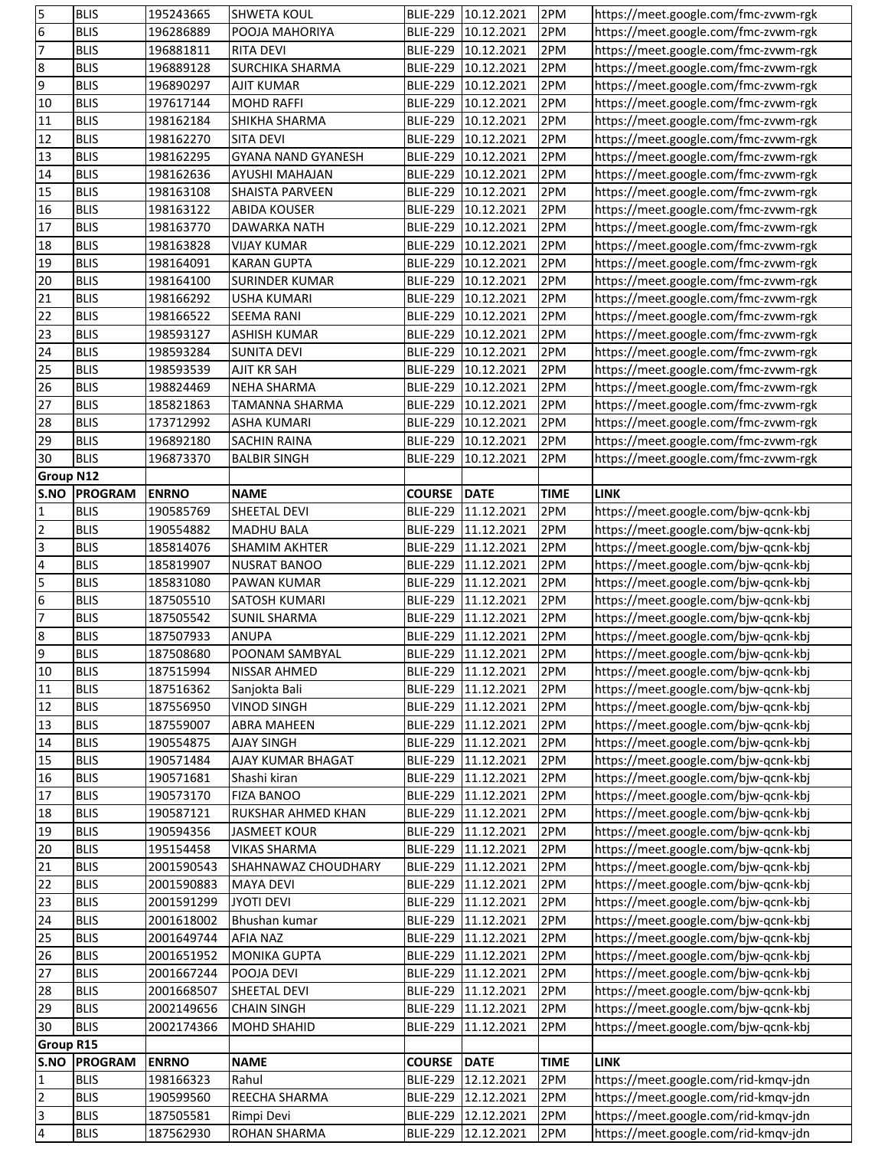| 5                                                               | <b>BLIS</b>                | 195243665              | <b>SHWETA KOUL</b>         |                                    | BLIE-229 10.12.2021      | 2PM         | https://meet.google.com/fmc-zvwm-rgk                                         |
|-----------------------------------------------------------------|----------------------------|------------------------|----------------------------|------------------------------------|--------------------------|-------------|------------------------------------------------------------------------------|
| $6\overline{6}$                                                 | <b>BLIS</b>                | 196286889              | POOJA MAHORIYA             | <b>BLIE-229</b>                    | 10.12.2021               | 2PM         | https://meet.google.com/fmc-zvwm-rgk                                         |
| 7                                                               | <b>BLIS</b>                | 196881811              | <b>RITA DEVI</b>           |                                    | BLIE-229 10.12.2021      | 2PM         | https://meet.google.com/fmc-zvwm-rgk                                         |
| 8                                                               | <b>BLIS</b>                | 196889128              | <b>SURCHIKA SHARMA</b>     |                                    | BLIE-229 10.12.2021      | 2PM         | https://meet.google.com/fmc-zvwm-rgk                                         |
| 9                                                               | <b>BLIS</b>                | 196890297              | <b>AJIT KUMAR</b>          | <b>BLIE-229</b>                    | 10.12.2021               | 2PM         | https://meet.google.com/fmc-zvwm-rgk                                         |
| 10                                                              | <b>BLIS</b>                | 197617144              | <b>MOHD RAFFI</b>          | <b>BLIE-229</b>                    | 10.12.2021               | 2PM         | https://meet.google.com/fmc-zvwm-rgk                                         |
| 11                                                              | <b>BLIS</b>                | 198162184              | SHIKHA SHARMA              | <b>BLIE-229</b>                    | 10.12.2021               | 2PM         | https://meet.google.com/fmc-zvwm-rgk                                         |
| 12                                                              | <b>BLIS</b>                | 198162270              | <b>SITA DEVI</b>           | <b>BLIE-229</b>                    | 10.12.2021               | 2PM         | https://meet.google.com/fmc-zvwm-rgk                                         |
| 13                                                              | <b>BLIS</b>                | 198162295              | <b>GYANA NAND GYANESH</b>  | <b>BLIE-229</b>                    | 10.12.2021               | 2PM         | https://meet.google.com/fmc-zvwm-rgk                                         |
| 14                                                              | <b>BLIS</b>                | 198162636              | <b>AYUSHI MAHAJAN</b>      | <b>BLIE-229</b>                    | 10.12.2021               | 2PM         | https://meet.google.com/fmc-zvwm-rgk                                         |
| 15                                                              | <b>BLIS</b>                | 198163108              | SHAISTA PARVEEN            | <b>BLIE-229</b>                    | 10.12.2021               | 2PM         | https://meet.google.com/fmc-zvwm-rgk                                         |
| 16                                                              | <b>BLIS</b>                | 198163122              | <b>ABIDA KOUSER</b>        | <b>BLIE-229</b>                    | 10.12.2021               | 2PM         |                                                                              |
| 17                                                              |                            |                        |                            |                                    |                          |             | https://meet.google.com/fmc-zvwm-rgk                                         |
| $\overline{18}$                                                 | <b>BLIS</b>                | 198163770              | <b>DAWARKA NATH</b>        | <b>BLIE-229</b>                    | 10.12.2021               | 2PM         | https://meet.google.com/fmc-zvwm-rgk                                         |
|                                                                 | <b>BLIS</b>                | 198163828              | <b>VIJAY KUMAR</b>         | <b>BLIE-229</b>                    | 10.12.2021               | 2PM         | https://meet.google.com/fmc-zvwm-rgk                                         |
| 19                                                              | <b>BLIS</b>                | 198164091              | <b>KARAN GUPTA</b>         | <b>BLIE-229</b>                    | 10.12.2021               | 2PM         | https://meet.google.com/fmc-zvwm-rgk                                         |
| 20                                                              | <b>BLIS</b>                | 198164100              | <b>SURINDER KUMAR</b>      | <b>BLIE-229</b>                    | 10.12.2021               | 2PM         | https://meet.google.com/fmc-zvwm-rgk                                         |
| 21                                                              | <b>BLIS</b>                | 198166292              | USHA KUMARI                | <b>BLIE-229</b>                    | 10.12.2021               | 2PM         | https://meet.google.com/fmc-zvwm-rgk                                         |
| $\overline{22}$                                                 | <b>BLIS</b>                | 198166522              | <b>SEEMA RANI</b>          | <b>BLIE-229</b>                    | 10.12.2021               | 2PM         | https://meet.google.com/fmc-zvwm-rgk                                         |
| 23                                                              | <b>BLIS</b>                | 198593127              | <b>ASHISH KUMAR</b>        | <b>BLIE-229</b>                    | 10.12.2021               | 2PM         | https://meet.google.com/fmc-zvwm-rgk                                         |
| 24                                                              | <b>BLIS</b>                | 198593284              | <b>SUNITA DEVI</b>         | <b>BLIE-229</b>                    | 10.12.2021               | 2PM         | https://meet.google.com/fmc-zvwm-rgk                                         |
| 25                                                              | <b>BLIS</b>                | 198593539              | <b>AJIT KR SAH</b>         | <b>BLIE-229</b>                    | 10.12.2021               | 2PM         | https://meet.google.com/fmc-zvwm-rgk                                         |
| 26                                                              | <b>BLIS</b>                | 198824469              | <b>NEHA SHARMA</b>         | <b>BLIE-229</b>                    | 10.12.2021               | 2PM         | https://meet.google.com/fmc-zvwm-rgk                                         |
| 27                                                              | <b>BLIS</b>                | 185821863              | <b>TAMANNA SHARMA</b>      | <b>BLIE-229</b>                    | 10.12.2021               | 2PM         | https://meet.google.com/fmc-zvwm-rgk                                         |
| 28                                                              | <b>BLIS</b>                | 173712992              | <b>ASHA KUMARI</b>         | <b>BLIE-229</b>                    | 10.12.2021               | 2PM         | https://meet.google.com/fmc-zvwm-rgk                                         |
| 29                                                              | <b>BLIS</b>                | 196892180              | <b>SACHIN RAINA</b>        | <b>BLIE-229</b>                    | 10.12.2021               | 2PM         | https://meet.google.com/fmc-zvwm-rgk                                         |
| 30                                                              | <b>BLIS</b>                | 196873370              | <b>BALBIR SINGH</b>        | <b>BLIE-229</b>                    | 10.12.2021               | 2PM         | https://meet.google.com/fmc-zvwm-rgk                                         |
| <b>Group N12</b>                                                |                            |                        |                            |                                    |                          |             |                                                                              |
| S.NO                                                            | <b>PROGRAM</b>             | <b>ENRNO</b>           | <b>NAME</b>                | <b>COURSE</b>                      | <b>DATE</b>              | <b>TIME</b> | <b>LINK</b>                                                                  |
| $\mathbf{1}$                                                    | <b>BLIS</b>                | 190585769              | SHEETAL DEVI               | <b>BLIE-229</b>                    | 11.12.2021               | 2PM         | https://meet.google.com/bjw-qcnk-kbj                                         |
| $\overline{2}$                                                  | <b>BLIS</b>                | 190554882              | <b>MADHU BALA</b>          | <b>BLIE-229</b>                    | 11.12.2021               | 2PM         | https://meet.google.com/bjw-qcnk-kbj                                         |
| $\overline{3}$                                                  | <b>BLIS</b>                | 185814076              | <b>SHAMIM AKHTER</b>       | <b>BLIE-229</b>                    | 11.12.2021               | 2PM         | https://meet.google.com/bjw-qcnk-kbj                                         |
| $\overline{\mathbf{4}}$                                         | <b>BLIS</b>                | 185819907              | <b>NUSRAT BANOO</b>        | <b>BLIE-229</b>                    | 11.12.2021               | 2PM         | https://meet.google.com/bjw-qcnk-kbj                                         |
| 5                                                               | <b>BLIS</b>                | 185831080              | PAWAN KUMAR                | <b>BLIE-229</b>                    | 11.12.2021               | 2PM         | https://meet.google.com/bjw-qcnk-kbj                                         |
| $\overline{6}$                                                  | <b>BLIS</b>                | 187505510              | SATOSH KUMARI              | <b>BLIE-229</b>                    | 11.12.2021               | 2PM         | https://meet.google.com/bjw-qcnk-kbj                                         |
| $\overline{7}$                                                  | <b>BLIS</b>                | 187505542              | <b>SUNIL SHARMA</b>        | <b>BLIE-229</b>                    | 11.12.2021               | 2PM         | https://meet.google.com/bjw-qcnk-kbj                                         |
|                                                                 | <b>BLIS</b>                | 187507933              | <b>ANUPA</b>               | <b>BLIE-229</b>                    | 11.12.2021               | 2PM         | https://meet.google.com/bjw-qcnk-kbj                                         |
| യ യ                                                             | <b>BLIS</b>                | 187508680              | POONAM SAMBYAL             |                                    | BLIE-229 11.12.2021      | 2PM         | https://meet.google.com/bjw-qcnk-kbj                                         |
| 10                                                              |                            |                        |                            |                                    |                          |             |                                                                              |
|                                                                 |                            |                        |                            |                                    |                          |             |                                                                              |
|                                                                 | <b>BLIS</b>                | 187515994              | NISSAR AHMED               |                                    | BLIE-229 11.12.2021      | 2PM         | https://meet.google.com/bjw-qcnk-kbj                                         |
| 11                                                              | <b>BLIS</b>                | 187516362              | Sanjokta Bali              |                                    | BLIE-229 11.12.2021      | 2PM         | https://meet.google.com/bjw-qcnk-kbj                                         |
| 12                                                              | <b>BLIS</b>                | 187556950              | <b>VINOD SINGH</b>         |                                    | BLIE-229 11.12.2021      | 2PM         | https://meet.google.com/bjw-qcnk-kbj                                         |
| 13                                                              | <b>BLIS</b>                | 187559007              | <b>ABRA MAHEEN</b>         |                                    | BLIE-229 11.12.2021      | 2PM         | https://meet.google.com/bjw-qcnk-kbj                                         |
| $\sqrt{14}$                                                     | <b>BLIS</b>                | 190554875              | <b>AJAY SINGH</b>          | <b>BLIE-229</b>                    | 11.12.2021               | 2PM         | https://meet.google.com/bjw-qcnk-kbj                                         |
|                                                                 | <b>BLIS</b>                | 190571484              | AJAY KUMAR BHAGAT          | <b>BLIE-229</b>                    | 11.12.2021               | 2PM         | https://meet.google.com/bjw-qcnk-kbj                                         |
|                                                                 | <b>BLIS</b>                | 190571681              | Shashi kiran               | <b>BLIE-229</b>                    | 11.12.2021               | 2PM         | https://meet.google.com/bjw-qcnk-kbj                                         |
|                                                                 | <b>BLIS</b>                | 190573170              | <b>FIZA BANOO</b>          | <b>BLIE-229</b>                    | 11.12.2021               | 2PM         | https://meet.google.com/bjw-qcnk-kbj                                         |
|                                                                 | <b>BLIS</b>                | 190587121              | RUKSHAR AHMED KHAN         | <b>BLIE-229</b>                    | 11.12.2021               | 2PM         | https://meet.google.com/bjw-qcnk-kbj                                         |
|                                                                 | <b>BLIS</b>                | 190594356              | <b>JASMEET KOUR</b>        | <b>BLIE-229</b>                    | 11.12.2021               | 2PM         | https://meet.google.com/bjw-qcnk-kbj                                         |
|                                                                 | <b>BLIS</b>                | 195154458              | <b>VIKAS SHARMA</b>        | <b>BLIE-229</b>                    | 11.12.2021               | 2PM         | https://meet.google.com/bjw-qcnk-kbj                                         |
|                                                                 | <b>BLIS</b>                | 2001590543             | SHAHNAWAZ CHOUDHARY        |                                    | BLIE-229 11.12.2021      | 2PM         | https://meet.google.com/bjw-qcnk-kbj                                         |
|                                                                 | <b>BLIS</b>                | 2001590883             | <b>MAYA DEVI</b>           |                                    | BLIE-229 11.12.2021      | 2PM         | https://meet.google.com/bjw-qcnk-kbj                                         |
| 15<br>16<br>17<br>18<br>19<br>20<br>$\overline{21}$<br>22<br>23 | <b>BLIS</b>                | 2001591299             | <b>JYOTI DEVI</b>          | <b>BLIE-229</b>                    | 11.12.2021               | 2PM         | https://meet.google.com/bjw-qcnk-kbj                                         |
| 24                                                              | <b>BLIS</b>                | 2001618002             | Bhushan kumar              |                                    | BLIE-229 11.12.2021      | 2PM         | https://meet.google.com/bjw-qcnk-kbj                                         |
|                                                                 | <b>BLIS</b>                | 2001649744             | <b>AFIA NAZ</b>            |                                    | BLIE-229 11.12.2021      | 2PM         | https://meet.google.com/bjw-qcnk-kbj                                         |
|                                                                 | <b>BLIS</b>                | 2001651952             | <b>MONIKA GUPTA</b>        |                                    | BLIE-229 11.12.2021      | 2PM         | https://meet.google.com/bjw-qcnk-kbj                                         |
|                                                                 | <b>BLIS</b>                | 2001667244             | POOJA DEVI                 |                                    | BLIE-229 11.12.2021      | 2PM         | https://meet.google.com/bjw-qcnk-kbj                                         |
|                                                                 | <b>BLIS</b>                | 2001668507             | SHEETAL DEVI               |                                    | BLIE-229 11.12.2021      | 2PM         | https://meet.google.com/bjw-qcnk-kbj                                         |
|                                                                 | <b>BLIS</b>                | 2002149656             | <b>CHAIN SINGH</b>         | <b>BLIE-229</b>                    | 11.12.2021               | 2PM         | https://meet.google.com/bjw-qcnk-kbj                                         |
|                                                                 | <b>BLIS</b>                | 2002174366             | <b>MOHD SHAHID</b>         | <b>BLIE-229</b>                    | 11.12.2021               | 2PM         |                                                                              |
|                                                                 |                            |                        |                            |                                    |                          |             | https://meet.google.com/bjw-qcnk-kbj                                         |
| 25<br>26<br>27<br>28<br>29<br>30<br><b>Group R15</b><br>S.NO    |                            | <b>ENRNO</b>           |                            |                                    |                          |             | <b>LINK</b>                                                                  |
|                                                                 | <b>PROGRAM</b>             |                        | <b>NAME</b>                | <b>COURSE</b>                      | <b>DATE</b>              | <b>TIME</b> |                                                                              |
| 1                                                               | <b>BLIS</b>                | 198166323              | Rahul                      | <b>BLIE-229</b>                    | 12.12.2021               | 2PM         | https://meet.google.com/rid-kmqv-jdn                                         |
| $\overline{2}$                                                  | <b>BLIS</b>                | 190599560              | REECHA SHARMA              | <b>BLIE-229</b>                    | 12.12.2021               | 2PM         | https://meet.google.com/rid-kmqv-jdn                                         |
| $\overline{\mathbf{3}}$<br>$\overline{\mathbf{r}}$              | <b>BLIS</b><br><b>BLIS</b> | 187505581<br>187562930 | Rimpi Devi<br>ROHAN SHARMA | <b>BLIE-229</b><br><b>BLIE-229</b> | 12.12.2021<br>12.12.2021 | 2PM<br>2PM  | https://meet.google.com/rid-kmqv-jdn<br>https://meet.google.com/rid-kmqv-jdn |